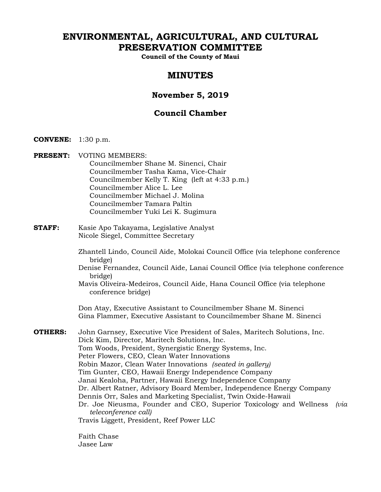# **ENVIRONMENTAL, AGRICULTURAL, AND CULTURAL PRESERVATION COMMITTEE**

**Council of the County of Maui** 

# **MINUTES**

# **November 5, 2019**

# **Council Chamber**

- **CONVENE:** 1:30 p.m.
- **PRESENT:** VOTING MEMBERS: Councilmember Shane M. Sinenci, Chair Councilmember Tasha Kama, Vice-Chair Councilmember Kelly T. King (left at 4:33 p.m.) Councilmember Alice L. Lee Councilmember Michael J. Molina Councilmember Tamara Paltin Councilmember Yuki Lei K. Sugimura
- **STAFF:** Kasie Apo Takayama, Legislative Analyst Nicole Siegel, Committee Secretary
	- Zhantell Lindo, Council Aide, Molokai Council Office (via telephone conference bridge)
	- Denise Fernandez, Council Aide, Lanai Council Office (via telephone conference bridge)
	- Mavis Oliveira-Medeiros, Council Aide, Hana Council Office (via telephone conference bridge)

Don Atay, Executive Assistant to Councilmember Shane M. Sinenci Gina Flammer, Executive Assistant to Councilmember Shane M. Sinenci

**OTHERS:** John Garnsey, Executive Vice President of Sales, Maritech Solutions, Inc. Dick Kim, Director, Maritech Solutions, Inc. Tom Woods, President, Synergistic Energy Systems, Inc. Peter Flowers, CEO, Clean Water Innovations Robin Mazor, Clean Water Innovations *(seated in gallery)* Tim Gunter, CEO, Hawaii Energy Independence Company Janai Kealoha, Partner, Hawaii Energy Independence Company Dr. Albert Ratner, Advisory Board Member, Independence Energy Company Dennis Orr, Sales and Marketing Specialist, Twin Oxide-Hawaii Dr. Joe Nieusma, Founder and CEO, Superior Toxicology and Wellness *(via teleconference call)*  Travis Liggett, President, Reef Power LLC

> Faith Chase Jasee Law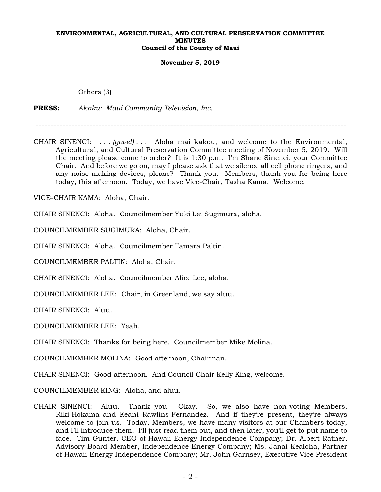#### **November 5, 2019**

Others (3)

**PRESS:** *Akaku: Maui Community Television, Inc.*

--------------------------------------------------------------------------------------------------------

CHAIR SINENCI: . . . *(gavel)* . . . Aloha mai kakou, and welcome to the Environmental, Agricultural, and Cultural Preservation Committee meeting of November 5, 2019. Will the meeting please come to order? It is 1:30 p.m. I'm Shane Sinenci, your Committee Chair. And before we go on, may I please ask that we silence all cell phone ringers, and any noise-making devices, please? Thank you. Members, thank you for being here today, this afternoon. Today, we have Vice-Chair, Tasha Kama. Welcome.

VICE-CHAIR KAMA: Aloha, Chair.

CHAIR SINENCI: Aloha. Councilmember Yuki Lei Sugimura, aloha.

COUNCILMEMBER SUGIMURA: Aloha, Chair.

CHAIR SINENCI: Aloha. Councilmember Tamara Paltin.

COUNCILMEMBER PALTIN: Aloha, Chair.

CHAIR SINENCI: Aloha. Councilmember Alice Lee, aloha.

COUNCILMEMBER LEE: Chair, in Greenland, we say aluu.

CHAIR SINENCI: Aluu.

COUNCILMEMBER LEE: Yeah.

CHAIR SINENCI: Thanks for being here. Councilmember Mike Molina.

COUNCILMEMBER MOLINA: Good afternoon, Chairman.

CHAIR SINENCI: Good afternoon. And Council Chair Kelly King, welcome.

COUNCILMEMBER KING: Aloha, and aluu.

CHAIR SINENCI: Aluu. Thank you. Okay. So, we also have non-voting Members, Riki Hokama and Keani Rawlins-Fernandez. And if they're present, they're always welcome to join us. Today, Members, we have many visitors at our Chambers today, and I'll introduce them. I'll just read them out, and then later, you'll get to put name to face. Tim Gunter, CEO of Hawaii Energy Independence Company; Dr. Albert Ratner, Advisory Board Member, Independence Energy Company; Ms. Janai Kealoha, Partner of Hawaii Energy Independence Company; Mr. John Garnsey, Executive Vice President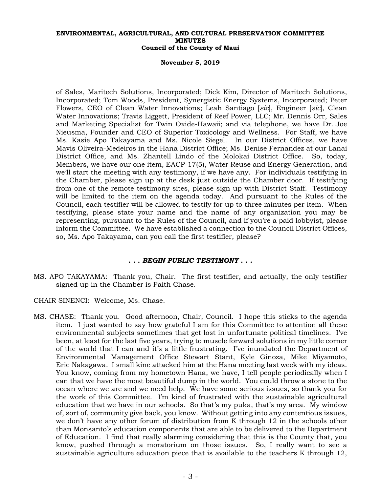#### **November 5, 2019**

of Sales, Maritech Solutions, Incorporated; Dick Kim, Director of Maritech Solutions, Incorporated; Tom Woods, President, Synergistic Energy Systems, Incorporated; Peter Flowers, CEO of Clean Water Innovations; Leah Santiago [*sic*], Engineer [*sic*], Clean Water Innovations; Travis Liggett, President of Reef Power, LLC; Mr. Dennis Orr, Sales and Marketing Specialist for Twin Oxide-Hawaii; and via telephone, we have Dr. Joe Nieusma, Founder and CEO of Superior Toxicology and Wellness. For Staff, we have Ms. Kasie Apo Takayama and Ms. Nicole Siegel. In our District Offices, we have Mavis Oliveira-Medeiros in the Hana District Office; Ms. Denise Fernandez at our Lanai District Office, and Ms. Zhantell Lindo of the Molokai District Office. So, today, Members, we have our one item, EACP-17(5), Water Reuse and Energy Generation, and we'll start the meeting with any testimony, if we have any. For individuals testifying in the Chamber, please sign up at the desk just outside the Chamber door. If testifying from one of the remote testimony sites, please sign up with District Staff. Testimony will be limited to the item on the agenda today. And pursuant to the Rules of the Council, each testifier will be allowed to testify for up to three minutes per item. When testifying, please state your name and the name of any organization you may be representing, pursuant to the Rules of the Council, and if you're a paid lobbyist, please inform the Committee. We have established a connection to the Council District Offices, so, Ms. Apo Takayama, can you call the first testifier, please?

## *. . . BEGIN PUBLIC TESTIMONY . . .*

MS. APO TAKAYAMA: Thank you, Chair. The first testifier, and actually, the only testifier signed up in the Chamber is Faith Chase.

CHAIR SINENCI: Welcome, Ms. Chase.

MS. CHASE: Thank you. Good afternoon, Chair, Council. I hope this sticks to the agenda item. I just wanted to say how grateful I am for this Committee to attention all these environmental subjects sometimes that get lost in unfortunate political timelines. I've been, at least for the last five years, trying to muscle forward solutions in my little corner of the world that I can and it's a little frustrating. I've inundated the Department of Environmental Management Office Stewart Stant, Kyle Ginoza, Mike Miyamoto, Eric Nakagawa. I small kine attacked him at the Hana meeting last week with my ideas. You know, coming from my hometown Hana, we have, I tell people periodically when I can that we have the most beautiful dump in the world. You could throw a stone to the ocean where we are and we need help. We have some serious issues, so thank you for the work of this Committee. I'm kind of frustrated with the sustainable agricultural education that we have in our schools. So that's my puka, that's my area. My window of, sort of, community give back, you know. Without getting into any contentious issues, we don't have any other forum of distribution from K through 12 in the schools other than Monsanto's education components that are able to be delivered to the Department of Education. I find that really alarming considering that this is the County that, you know, pushed through a moratorium on those issues. So, I really want to see a sustainable agriculture education piece that is available to the teachers K through 12,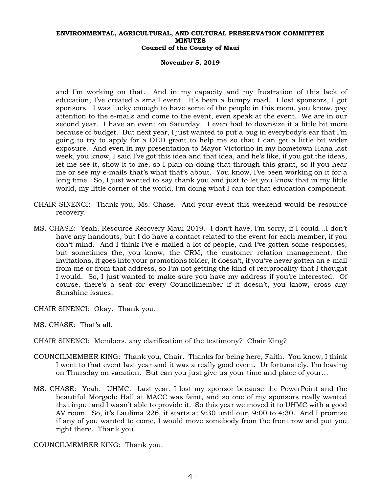## **November 5, 2019**

and I'm working on that. And in my capacity and my frustration of this lack of education, I've created a small event. It's been a bumpy road. I lost sponsors, I got sponsors. I was lucky enough to have some of the people in this room, you know, pay attention to the e-mails and come to the event, even speak at the event. We are in our second year. I have an event on Saturday. I even had to downsize it a little bit more because of budget. But next year, I just wanted to put a bug in everybody's ear that I'm going to try to apply for a OED grant to help me so that I can get a little bit wider exposure. And even in my presentation to Mayor Victorino in my hometown Hana last week, you know, I said I've got this idea and that idea, and he's like, if you got the ideas, let me see it, show it to me, so I plan on doing that through this grant, so if you hear me or see my e-mails that's what that's about. You know, I've been working on it for a long time. So, I just wanted to say thank you and just to let you know that in my little world, my little corner of the world, I'm doing what I can for that education component.

- CHAIR SINENCI: Thank you, Ms. Chase. And your event this weekend would be resource recovery.
- MS. CHASE: Yeah, Resource Recovery Maui 2019. I don't have, I'm sorry, if I could…I don't have any handouts, but I do have a contact related to the event for each member, if you don't mind. And I think I've e-mailed a lot of people, and I've gotten some responses, but sometimes the, you know, the CRM, the customer relation management, the invitations, it goes into your promotions folder, it doesn't, if you've never gotten an e-mail from me or from that address, so I'm not getting the kind of reciprocality that I thought I would. So, I just wanted to make sure you have my address if you're interested. Of course, there's a seat for every Councilmember if it doesn't, you know, cross any Sunshine issues.

CHAIR SINENCI: Okay. Thank you.

MS. CHASE: That's all.

CHAIR SINENCI: Members, any clarification of the testimony? Chair King?

- COUNCILMEMBER KING: Thank you, Chair. Thanks for being here, Faith. You know, I think I went to that event last year and it was a really good event. Unfortunately, I'm leaving on Thursday on vacation. But can you just give us your time and place of your…
- MS. CHASE: Yeah. UHMC. Last year, I lost my sponsor because the PowerPoint and the beautiful Morgado Hall at MACC was faint, and so one of my sponsors really wanted that input and I wasn't able to provide it. So this year we moved it to UHMC with a good AV room. So, it's Laulima 226, it starts at 9:30 until our, 9:00 to 4:30. And I promise if any of you wanted to come, I would move somebody from the front row and put you right there. Thank you.

COUNCILMEMBER KING: Thank you.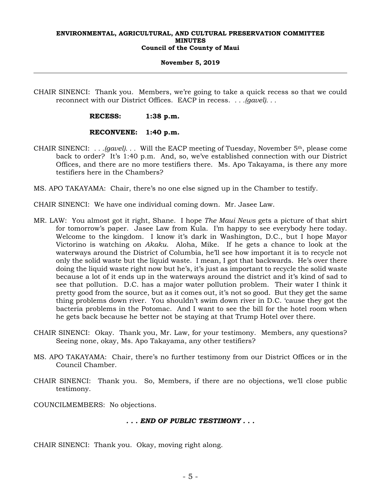## **November 5, 2019**

CHAIR SINENCI: Thank you. Members, we're going to take a quick recess so that we could reconnect with our District Offices. EACP in recess. *. . .(gavel). . .*

## **RECESS: 1:38 p.m.**

## **RECONVENE: 1:40 p.m.**

- CHAIR SINENCI: *. . .(gavel). . .* Will the EACP meeting of Tuesday, November 5th, please come back to order? It's 1:40 p.m. And, so, we've established connection with our District Offices, and there are no more testifiers there. Ms. Apo Takayama, is there any more testifiers here in the Chambers?
- MS. APO TAKAYAMA: Chair, there's no one else signed up in the Chamber to testify.
- CHAIR SINENCI: We have one individual coming down. Mr. Jasee Law.
- MR. LAW: You almost got it right, Shane. I hope *The Maui News* gets a picture of that shirt for tomorrow's paper. Jasee Law from Kula. I'm happy to see everybody here today. Welcome to the kingdom. I know it's dark in Washington, D.C., but I hope Mayor Victorino is watching on *Akaku*. Aloha, Mike. If he gets a chance to look at the waterways around the District of Columbia, he'll see how important it is to recycle not only the solid waste but the liquid waste. I mean, I got that backwards. He's over there doing the liquid waste right now but he's, it's just as important to recycle the solid waste because a lot of it ends up in the waterways around the district and it's kind of sad to see that pollution. D.C. has a major water pollution problem. Their water I think it pretty good from the source, but as it comes out, it's not so good. But they get the same thing problems down river. You shouldn't swim down river in D.C. 'cause they got the bacteria problems in the Potomac. And I want to see the bill for the hotel room when he gets back because he better not be staying at that Trump Hotel over there.
- CHAIR SINENCI: Okay. Thank you, Mr. Law, for your testimony. Members, any questions? Seeing none, okay, Ms. Apo Takayama, any other testifiers?
- MS. APO TAKAYAMA: Chair, there's no further testimony from our District Offices or in the Council Chamber.
- CHAIR SINENCI: Thank you. So, Members, if there are no objections, we'll close public testimony.

COUNCILMEMBERS: No objections.

## *. . . END OF PUBLIC TESTIMONY . . .*

CHAIR SINENCI: Thank you. Okay, moving right along.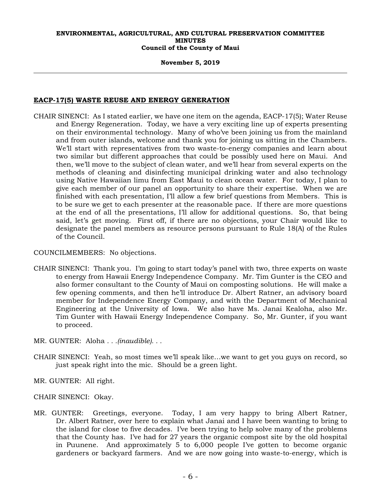## **November 5, 2019**

# **EACP-17(5) WASTE REUSE AND ENERGY GENERATION**

CHAIR SINENCI: As I stated earlier, we have one item on the agenda, EACP-17(5); Water Reuse and Energy Regeneration. Today, we have a very exciting line up of experts presenting on their environmental technology. Many of who've been joining us from the mainland and from outer islands, welcome and thank you for joining us sitting in the Chambers. We'll start with representatives from two waste-to-energy companies and learn about two similar but different approaches that could be possibly used here on Maui. And then, we'll move to the subject of clean water, and we'll hear from several experts on the methods of cleaning and disinfecting municipal drinking water and also technology using Native Hawaiian limu from East Maui to clean ocean water. For today, I plan to give each member of our panel an opportunity to share their expertise. When we are finished with each presentation, I'll allow a few brief questions from Members. This is to be sure we get to each presenter at the reasonable pace. If there are more questions at the end of all the presentations, I'll allow for additional questions. So, that being said, let's get moving. First off, if there are no objections, your Chair would like to designate the panel members as resource persons pursuant to Rule 18(A) of the Rules of the Council.

COUNCILMEMBERS: No objections.

- CHAIR SINENCI: Thank you. I'm going to start today's panel with two, three experts on waste to energy from Hawaii Energy Independence Company. Mr. Tim Gunter is the CEO and also former consultant to the County of Maui on composting solutions. He will make a few opening comments, and then he'll introduce Dr. Albert Ratner, an advisory board member for Independence Energy Company, and with the Department of Mechanical Engineering at the University of Iowa. We also have Ms. Janai Kealoha, also Mr. Tim Gunter with Hawaii Energy Independence Company. So, Mr. Gunter, if you want to proceed.
- MR. GUNTER: Aloha *. . .(inaudible). . .*
- CHAIR SINENCI: Yeah, so most times we'll speak like…we want to get you guys on record, so just speak right into the mic. Should be a green light.
- MR. GUNTER: All right.

CHAIR SINENCI: Okay.

MR. GUNTER: Greetings, everyone. Today, I am very happy to bring Albert Ratner, Dr. Albert Ratner, over here to explain what Janai and I have been wanting to bring to the island for close to five decades. I've been trying to help solve many of the problems that the County has. I've had for 27 years the organic compost site by the old hospital in Puunene. And approximately 5 to 6,000 people I've gotten to become organic gardeners or backyard farmers. And we are now going into waste-to-energy, which is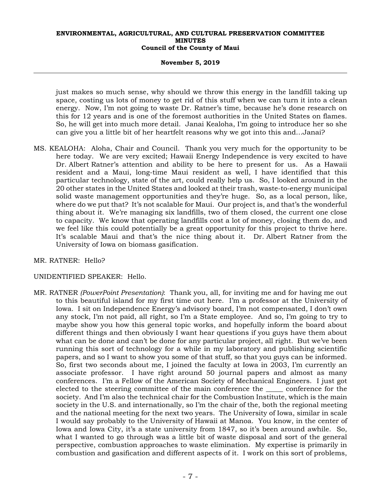## **November 5, 2019**

just makes so much sense, why should we throw this energy in the landfill taking up space, costing us lots of money to get rid of this stuff when we can turn it into a clean energy. Now, I'm not going to waste Dr. Ratner's time, because he's done research on this for 12 years and is one of the foremost authorities in the United States on flames. So, he will get into much more detail. Janai Kealoha, I'm going to introduce her so she can give you a little bit of her heartfelt reasons why we got into this and…Janai?

MS. KEALOHA: Aloha, Chair and Council. Thank you very much for the opportunity to be here today. We are very excited; Hawaii Energy Independence is very excited to have Dr. Albert Ratner's attention and ability to be here to present for us. As a Hawaii resident and a Maui, long-time Maui resident as well, I have identified that this particular technology, state of the art, could really help us. So, I looked around in the 20 other states in the United States and looked at their trash, waste-to-energy municipal solid waste management opportunities and they're huge. So, as a local person, like, where do we put that? It's not scalable for Maui. Our project is, and that's the wonderful thing about it. We're managing six landfills, two of them closed, the current one close to capacity. We know that operating landfills cost a lot of money, closing them do, and we feel like this could potentially be a great opportunity for this project to thrive here. It's scalable Maui and that's the nice thing about it. Dr. Albert Ratner from the University of Iowa on biomass gasification.

## MR. RATNER: Hello?

## UNIDENTIFIED SPEAKER: Hello.

MR. RATNER *(PowerPoint Presentation)*: Thank you, all, for inviting me and for having me out to this beautiful island for my first time out here. I'm a professor at the University of Iowa. I sit on Independence Energy's advisory board, I'm not compensated, I don't own any stock, I'm not paid, all right, so I'm a State employee. And so, I'm going to try to maybe show you how this general topic works, and hopefully inform the board about different things and then obviously I want hear questions if you guys have them about what can be done and can't be done for any particular project, all right. But we've been running this sort of technology for a while in my laboratory and publishing scientific papers, and so I want to show you some of that stuff, so that you guys can be informed. So, first two seconds about me, I joined the faculty at Iowa in 2003, I'm currently an associate professor. I have right around 50 journal papers and almost as many conferences. I'm a Fellow of the American Society of Mechanical Engineers. I just got elected to the steering committee of the main conference the \_\_\_\_\_ conference for the society. And I'm also the technical chair for the Combustion Institute, which is the main society in the U.S. and internationally, so I'm the chair of the, both the regional meeting and the national meeting for the next two years. The University of Iowa, similar in scale I would say probably to the University of Hawaii at Manoa. You know, in the center of Iowa and Iowa City, it's a state university from 1847, so it's been around awhile. So, what I wanted to go through was a little bit of waste disposal and sort of the general perspective, combustion approaches to waste elimination. My expertise is primarily in combustion and gasification and different aspects of it. I work on this sort of problems,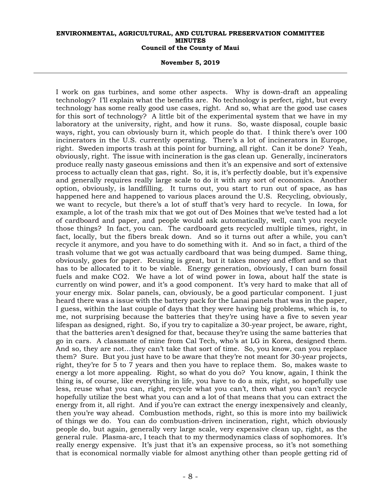#### **November 5, 2019**

I work on gas turbines, and some other aspects. Why is down-draft an appealing technology? I'll explain what the benefits are. No technology is perfect, right, but every technology has some really good use cases, right. And so, what are the good use cases for this sort of technology? A little bit of the experimental system that we have in my laboratory at the university, right, and how it runs. So, waste disposal, couple basic ways, right, you can obviously burn it, which people do that. I think there's over 100 incinerators in the U.S. currently operating. There's a lot of incinerators in Europe, right. Sweden imports trash at this point for burning, all right. Can it be done? Yeah, obviously, right. The issue with incineration is the gas clean up. Generally, incinerators produce really nasty gaseous emissions and then it's an expensive and sort of extensive process to actually clean that gas, right. So, it is, it's perfectly doable, but it's expensive and generally requires really large scale to do it with any sort of economics. Another option, obviously, is landfilling. It turns out, you start to run out of space, as has happened here and happened to various places around the U.S. Recycling, obviously, we want to recycle, but there's a lot of stuff that's very hard to recycle. In Iowa, for example, a lot of the trash mix that we got out of Des Moines that we've tested had a lot of cardboard and paper, and people would ask automatically, well, can't you recycle those things? In fact, you can. The cardboard gets recycled multiple times, right, in fact, locally, but the fibers break down. And so it turns out after a while, you can't recycle it anymore, and you have to do something with it. And so in fact, a third of the trash volume that we got was actually cardboard that was being dumped. Same thing, obviously, goes for paper. Reusing is great, but it takes money and effort and so that has to be allocated to it to be viable. Energy generation, obviously, I can burn fossil fuels and make CO2. We have a lot of wind power in Iowa, about half the state is currently on wind power, and it's a good component. It's very hard to make that all of your energy mix. Solar panels, can, obviously, be a good particular component. I just heard there was a issue with the battery pack for the Lanai panels that was in the paper, I guess, within the last couple of days that they were having big problems, which is, to me, not surprising because the batteries that they're using have a five to seven year lifespan as designed, right. So, if you try to capitalize a 30-year project, be aware, right, that the batteries aren't designed for that, because they're using the same batteries that go in cars. A classmate of mine from Cal Tech, who's at LG in Korea, designed them. And so, they are not…they can't take that sort of time. So, you know, can you replace them? Sure. But you just have to be aware that they're not meant for 30-year projects, right, they're for 5 to 7 years and then you have to replace them. So, makes waste to energy a lot more appealing. Right, so what do you do? You know, again, I think the thing is, of course, like everything in life, you have to do a mix, right, so hopefully use less, reuse what you can, right, recycle what you can't, then what you can't recycle hopefully utilize the best what you can and a lot of that means that you can extract the energy from it, all right. And if you're can extract the energy inexpensively and cleanly, then you're way ahead. Combustion methods, right, so this is more into my bailiwick of things we do. You can do combustion-driven incineration, right, which obviously people do, but again, generally very large scale, very expensive clean up, right, as the general rule. Plasma-arc, I teach that to my thermodynamics class of sophomores. It's really energy expensive. It's just that it's an expensive process, so it's not something that is economical normally viable for almost anything other than people getting rid of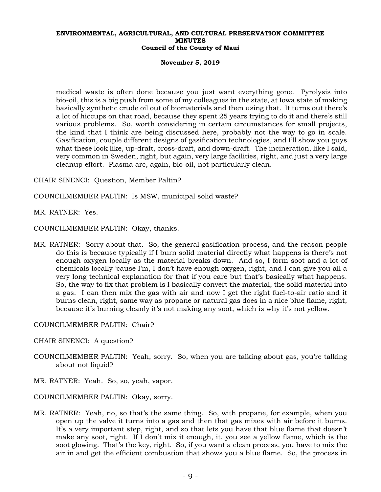#### **November 5, 2019**

medical waste is often done because you just want everything gone. Pyrolysis into bio-oil, this is a big push from some of my colleagues in the state, at Iowa state of making basically synthetic crude oil out of biomaterials and then using that. It turns out there's a lot of hiccups on that road, because they spent 25 years trying to do it and there's still various problems. So, worth considering in certain circumstances for small projects, the kind that I think are being discussed here, probably not the way to go in scale. Gasification, couple different designs of gasification technologies, and I'll show you guys what these look like, up-draft, cross-draft, and down-draft. The incineration, like I said, very common in Sweden, right, but again, very large facilities, right, and just a very large cleanup effort. Plasma arc, again, bio-oil, not particularly clean.

CHAIR SINENCI: Question, Member Paltin?

- COUNCILMEMBER PALTIN: Is MSW, municipal solid waste?
- MR. RATNER: Yes.

COUNCILMEMBER PALTIN: Okay, thanks.

MR. RATNER: Sorry about that. So, the general gasification process, and the reason people do this is because typically if I burn solid material directly what happens is there's not enough oxygen locally as the material breaks down. And so, I form soot and a lot of chemicals locally 'cause I'm, I don't have enough oxygen, right, and I can give you all a very long technical explanation for that if you care but that's basically what happens. So, the way to fix that problem is I basically convert the material, the solid material into a gas. I can then mix the gas with air and now I get the right fuel-to-air ratio and it burns clean, right, same way as propane or natural gas does in a nice blue flame, right, because it's burning cleanly it's not making any soot, which is why it's not yellow.

COUNCILMEMBER PALTIN: Chair?

- CHAIR SINENCI: A question?
- COUNCILMEMBER PALTIN: Yeah, sorry. So, when you are talking about gas, you're talking about not liquid?
- MR. RATNER: Yeah. So, so, yeah, vapor.
- COUNCILMEMBER PALTIN: Okay, sorry.
- MR. RATNER: Yeah, no, so that's the same thing. So, with propane, for example, when you open up the valve it turns into a gas and then that gas mixes with air before it burns. It's a very important step, right, and so that lets you have that blue flame that doesn't make any soot, right. If I don't mix it enough, it, you see a yellow flame, which is the soot glowing. That's the key, right. So, if you want a clean process, you have to mix the air in and get the efficient combustion that shows you a blue flame. So, the process in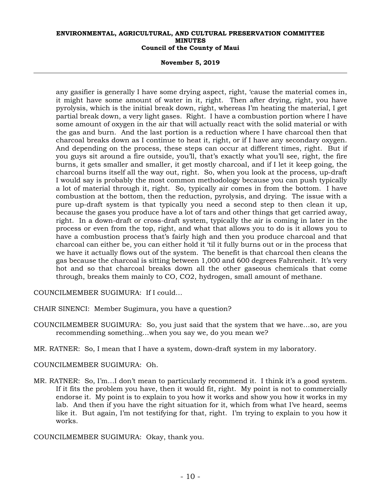#### **November 5, 2019**

any gasifier is generally I have some drying aspect, right, 'cause the material comes in, it might have some amount of water in it, right. Then after drying, right, you have pyrolysis, which is the initial break down, right, whereas I'm heating the material, I get partial break down, a very light gases. Right. I have a combustion portion where I have some amount of oxygen in the air that will actually react with the solid material or with the gas and burn. And the last portion is a reduction where I have charcoal then that charcoal breaks down as I continue to heat it, right, or if I have any secondary oxygen. And depending on the process, these steps can occur at different times, right. But if you guys sit around a fire outside, you'll, that's exactly what you'll see, right, the fire burns, it gets smaller and smaller, it get mostly charcoal, and if I let it keep going, the charcoal burns itself all the way out, right. So, when you look at the process, up-draft I would say is probably the most common methodology because you can push typically a lot of material through it, right. So, typically air comes in from the bottom. I have combustion at the bottom, then the reduction, pyrolysis, and drying. The issue with a pure up-draft system is that typically you need a second step to then clean it up, because the gases you produce have a lot of tars and other things that get carried away, right. In a down-draft or cross-draft system, typically the air is coming in later in the process or even from the top, right, and what that allows you to do is it allows you to have a combustion process that's fairly high and then you produce charcoal and that charcoal can either be, you can either hold it 'til it fully burns out or in the process that we have it actually flows out of the system. The benefit is that charcoal then cleans the gas because the charcoal is sitting between 1,000 and 600 degrees Fahrenheit. It's very hot and so that charcoal breaks down all the other gaseous chemicals that come through, breaks them mainly to CO, CO2, hydrogen, small amount of methane.

COUNCILMEMBER SUGIMURA: If I could…

CHAIR SINENCI: Member Sugimura, you have a question?

- COUNCILMEMBER SUGIMURA: So, you just said that the system that we have…so, are you recommending something…when you say we, do you mean we?
- MR. RATNER: So, I mean that I have a system, down-draft system in my laboratory.

## COUNCILMEMBER SUGIMURA: Oh.

MR. RATNER: So, I'm…I don't mean to particularly recommend it. I think it's a good system. If it fits the problem you have, then it would fit, right. My point is not to commercially endorse it. My point is to explain to you how it works and show you how it works in my lab. And then if you have the right situation for it, which from what I've heard, seems like it. But again, I'm not testifying for that, right. I'm trying to explain to you how it works.

COUNCILMEMBER SUGIMURA: Okay, thank you.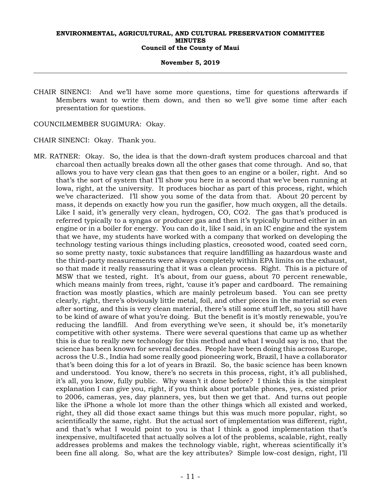## **November 5, 2019**

CHAIR SINENCI: And we'll have some more questions, time for questions afterwards if Members want to write them down, and then so we'll give some time after each presentation for questions.

COUNCILMEMBER SUGIMURA: Okay.

CHAIR SINENCI: Okay. Thank you.

MR. RATNER: Okay. So, the idea is that the down-draft system produces charcoal and that charcoal then actually breaks down all the other gases that come through. And so, that allows you to have very clean gas that then goes to an engine or a boiler, right. And so that's the sort of system that I'll show you here in a second that we've been running at Iowa, right, at the university. It produces biochar as part of this process, right, which we've characterized. I'll show you some of the data from that. About 20 percent by mass, it depends on exactly how you run the gasifier, how much oxygen, all the details. Like I said, it's generally very clean, hydrogen, CO, CO2. The gas that's produced is referred typically to a syngas or producer gas and then it's typically burned either in an engine or in a boiler for energy. You can do it, like I said, in an IC engine and the system that we have, my students have worked with a company that worked on developing the technology testing various things including plastics, creosoted wood, coated seed corn, so some pretty nasty, toxic substances that require landfilling as hazardous waste and the third-party measurements were always completely within EPA limits on the exhaust, so that made it really reassuring that it was a clean process. Right. This is a picture of MSW that we tested, right. It's about, from our guess, about 70 percent renewable, which means mainly from trees, right, 'cause it's paper and cardboard. The remaining fraction was mostly plastics, which are mainly petroleum based. You can see pretty clearly, right, there's obviously little metal, foil, and other pieces in the material so even after sorting, and this is very clean material, there's still some stuff left, so you still have to be kind of aware of what you're doing. But the benefit is it's mostly renewable, you're reducing the landfill. And from everything we've seen, it should be, it's monetarily competitive with other systems. There were several questions that came up as whether this is due to really new technology for this method and what I would say is no, that the science has been known for several decades. People have been doing this across Europe, across the U.S., India had some really good pioneering work, Brazil, I have a collaborator that's been doing this for a lot of years in Brazil. So, the basic science has been known and understood. You know, there's no secrets in this process, right, it's all published, it's all, you know, fully public. Why wasn't it done before? I think this is the simplest explanation I can give you, right, if you think about portable phones, yes, existed prior to 2006, cameras, yes, day planners, yes, but then we get that. And turns out people like the iPhone a whole lot more than the other things which all existed and worked, right, they all did those exact same things but this was much more popular, right, so scientifically the same, right. But the actual sort of implementation was different, right, and that's what I would point to you is that I think a good implementation that's inexpensive, multifaceted that actually solves a lot of the problems, scalable, right, really addresses problems and makes the technology viable, right, whereas scientifically it's been fine all along. So, what are the key attributes? Simple low-cost design, right, I'll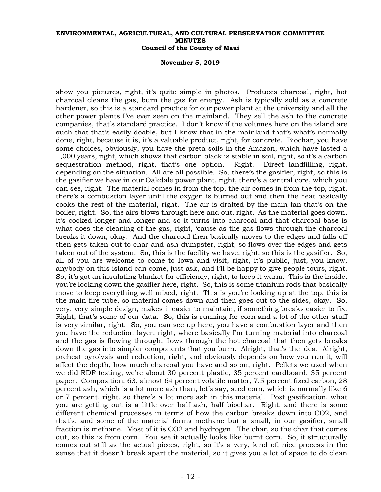#### **November 5, 2019**

show you pictures, right, it's quite simple in photos. Produces charcoal, right, hot charcoal cleans the gas, burn the gas for energy. Ash is typically sold as a concrete hardener, so this is a standard practice for our power plant at the university and all the other power plants I've ever seen on the mainland. They sell the ash to the concrete companies, that's standard practice. I don't know if the volumes here on the island are such that that's easily doable, but I know that in the mainland that's what's normally done, right, because it is, it's a valuable product, right, for concrete. Biochar, you have some choices, obviously, you have the preta soils in the Amazon, which have lasted a 1,000 years, right, which shows that carbon black is stable in soil, right, so it's a carbon sequestration method, right, that's one option. Right. Direct landfilling, right, depending on the situation. All are all possible. So, there's the gasifier, right, so this is the gasifier we have in our Oakdale power plant, right, there's a central core, which you can see, right. The material comes in from the top, the air comes in from the top, right, there's a combustion layer until the oxygen is burned out and then the heat basically cooks the rest of the material, right. The air is drafted by the main fan that's on the boiler, right. So, the airs blows through here and out, right. As the material goes down, it's cooked longer and longer and so it turns into charcoal and that charcoal base is what does the cleaning of the gas, right, 'cause as the gas flows through the charcoal breaks it down, okay. And the charcoal then basically moves to the edges and falls off then gets taken out to char-and-ash dumpster, right, so flows over the edges and gets taken out of the system. So, this is the facility we have, right, so this is the gasifier. So, all of you are welcome to come to Iowa and visit, right, it's public, just, you know, anybody on this island can come, just ask, and I'll be happy to give people tours, right. So, it's got an insulating blanket for efficiency, right, to keep it warm. This is the inside, you're looking down the gasifier here, right. So, this is some titanium rods that basically move to keep everything well mixed, right. This is you're looking up at the top, this is the main fire tube, so material comes down and then goes out to the sides, okay. So, very, very simple design, makes it easier to maintain, if something breaks easier to fix. Right, that's some of our data. So, this is running for corn and a lot of the other stuff is very similar, right. So, you can see up here, you have a combustion layer and then you have the reduction layer, right, where basically I'm turning material into charcoal and the gas is flowing through, flows through the hot charcoal that then gets breaks down the gas into simpler components that you burn. Alright, that's the idea. Alright, preheat pyrolysis and reduction, right, and obviously depends on how you run it, will affect the depth, how much charcoal you have and so on, right. Pellets we used when we did RDF testing, we're about 30 percent plastic, 35 percent cardboard, 35 percent paper. Composition, 63, almost 64 percent volatile matter, 7.5 percent fixed carbon, 28 percent ash, which is a lot more ash than, let's say, seed corn, which is normally like 6 or 7 percent, right, so there's a lot more ash in this material. Post gasification, what you are getting out is a little over half ash, half biochar. Right, and there is some different chemical processes in terms of how the carbon breaks down into CO2, and that's, and some of the material forms methane but a small, in our gasifier, small fraction is methane. Most of it is CO2 and hydrogen. The char, so the char that comes out, so this is from corn. You see it actually looks like burnt corn. So, it structurally comes out still as the actual pieces, right, so it's a very, kind of, nice process in the sense that it doesn't break apart the material, so it gives you a lot of space to do clean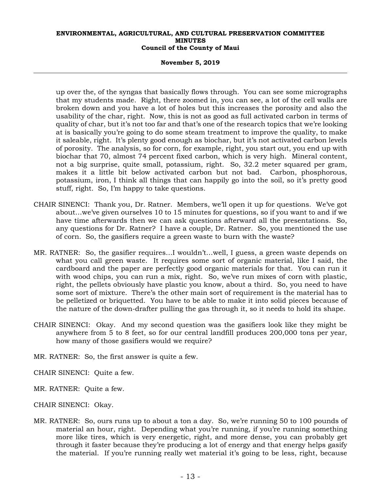## **November 5, 2019**

up over the, of the syngas that basically flows through. You can see some micrographs that my students made. Right, there zoomed in, you can see, a lot of the cell walls are broken down and you have a lot of holes but this increases the porosity and also the usability of the char, right. Now, this is not as good as full activated carbon in terms of quality of char, but it's not too far and that's one of the research topics that we're looking at is basically you're going to do some steam treatment to improve the quality, to make it saleable, right. It's plenty good enough as biochar, but it's not activated carbon levels of porosity. The analysis, so for corn, for example, right, you start out, you end up with biochar that 70, almost 74 percent fixed carbon, which is very high. Mineral content, not a big surprise, quite small, potassium, right. So, 32.2 meter squared per gram, makes it a little bit below activated carbon but not bad. Carbon, phosphorous, potassium, iron, I think all things that can happily go into the soil, so it's pretty good stuff, right. So, I'm happy to take questions.

- CHAIR SINENCI: Thank you, Dr. Ratner. Members, we'll open it up for questions. We've got about…we've given ourselves 10 to 15 minutes for questions, so if you want to and if we have time afterwards then we can ask questions afterward all the presentations. So, any questions for Dr. Ratner? I have a couple, Dr. Ratner. So, you mentioned the use of corn. So, the gasifiers require a green waste to burn with the waste?
- MR. RATNER: So, the gasifier requires…I wouldn't…well, I guess, a green waste depends on what you call green waste. It requires some sort of organic material, like I said, the cardboard and the paper are perfectly good organic materials for that. You can run it with wood chips, you can run a mix, right. So, we've run mixes of corn with plastic, right, the pellets obviously have plastic you know, about a third. So, you need to have some sort of mixture. There's the other main sort of requirement is the material has to be pelletized or briquetted. You have to be able to make it into solid pieces because of the nature of the down-drafter pulling the gas through it, so it needs to hold its shape.
- CHAIR SINENCI: Okay. And my second question was the gasifiers look like they might be anywhere from 5 to 8 feet, so for our central landfill produces 200,000 tons per year, how many of those gasifiers would we require?
- MR. RATNER: So, the first answer is quite a few.
- CHAIR SINENCI: Quite a few.
- MR. RATNER: Quite a few.
- CHAIR SINENCI: Okay.
- MR. RATNER: So, ours runs up to about a ton a day. So, we're running 50 to 100 pounds of material an hour, right. Depending what you're running, if you're running something more like tires, which is very energetic, right, and more dense, you can probably get through it faster because they're producing a lot of energy and that energy helps gasify the material. If you're running really wet material it's going to be less, right, because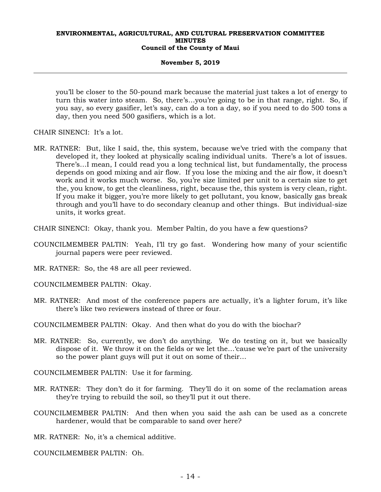## **November 5, 2019**

you'll be closer to the 50-pound mark because the material just takes a lot of energy to turn this water into steam. So, there's…you're going to be in that range, right. So, if you say, so every gasifier, let's say, can do a ton a day, so if you need to do 500 tons a day, then you need 500 gasifiers, which is a lot.

- CHAIR SINENCI: It's a lot.
- MR. RATNER: But, like I said, the, this system, because we've tried with the company that developed it, they looked at physically scaling individual units. There's a lot of issues. There's…I mean, I could read you a long technical list, but fundamentally, the process depends on good mixing and air flow. If you lose the mixing and the air flow, it doesn't work and it works much worse. So, you're size limited per unit to a certain size to get the, you know, to get the cleanliness, right, because the, this system is very clean, right. If you make it bigger, you're more likely to get pollutant, you know, basically gas break through and you'll have to do secondary cleanup and other things. But individual-size units, it works great.
- CHAIR SINENCI: Okay, thank you. Member Paltin, do you have a few questions?
- COUNCILMEMBER PALTIN: Yeah, I'll try go fast. Wondering how many of your scientific journal papers were peer reviewed.
- MR. RATNER: So, the 48 are all peer reviewed.

COUNCILMEMBER PALTIN: Okay.

MR. RATNER: And most of the conference papers are actually, it's a lighter forum, it's like there's like two reviewers instead of three or four.

COUNCILMEMBER PALTIN: Okay. And then what do you do with the biochar?

MR. RATNER: So, currently, we don't do anything. We do testing on it, but we basically dispose of it. We throw it on the fields or we let the…'cause we're part of the university so the power plant guys will put it out on some of their…

COUNCILMEMBER PALTIN: Use it for farming.

- MR. RATNER: They don't do it for farming. They'll do it on some of the reclamation areas they're trying to rebuild the soil, so they'll put it out there.
- COUNCILMEMBER PALTIN: And then when you said the ash can be used as a concrete hardener, would that be comparable to sand over here?

MR. RATNER: No, it's a chemical additive.

COUNCILMEMBER PALTIN: Oh.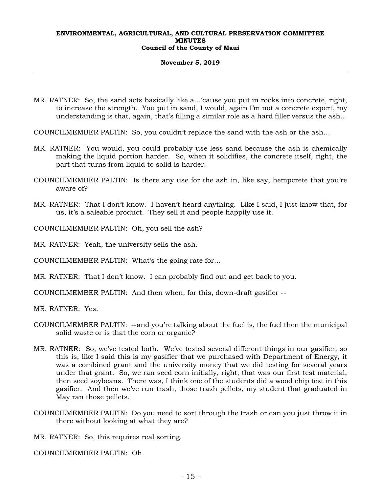## **November 5, 2019**

MR. RATNER: So, the sand acts basically like a…'cause you put in rocks into concrete, right, to increase the strength. You put in sand, I would, again I'm not a concrete expert, my understanding is that, again, that's filling a similar role as a hard filler versus the ash…

COUNCILMEMBER PALTIN: So, you couldn't replace the sand with the ash or the ash…

- MR. RATNER: You would, you could probably use less sand because the ash is chemically making the liquid portion harder. So, when it solidifies, the concrete itself, right, the part that turns from liquid to solid is harder.
- COUNCILMEMBER PALTIN: Is there any use for the ash in, like say, hempcrete that you're aware of?
- MR. RATNER: That I don't know. I haven't heard anything. Like I said, I just know that, for us, it's a saleable product. They sell it and people happily use it.

COUNCILMEMBER PALTIN: Oh, you sell the ash?

MR. RATNER: Yeah, the university sells the ash.

COUNCILMEMBER PALTIN: What's the going rate for…

MR. RATNER: That I don't know. I can probably find out and get back to you.

COUNCILMEMBER PALTIN: And then when, for this, down-draft gasifier --

MR. RATNER: Yes.

- COUNCILMEMBER PALTIN: --and you're talking about the fuel is, the fuel then the municipal solid waste or is that the corn or organic?
- MR. RATNER: So, we've tested both. We've tested several different things in our gasifier, so this is, like I said this is my gasifier that we purchased with Department of Energy, it was a combined grant and the university money that we did testing for several years under that grant. So, we ran seed corn initially, right, that was our first test material, then seed soybeans. There was, I think one of the students did a wood chip test in this gasifier. And then we've run trash, those trash pellets, my student that graduated in May ran those pellets.
- COUNCILMEMBER PALTIN: Do you need to sort through the trash or can you just throw it in there without looking at what they are?

MR. RATNER: So, this requires real sorting.

COUNCILMEMBER PALTIN: Oh.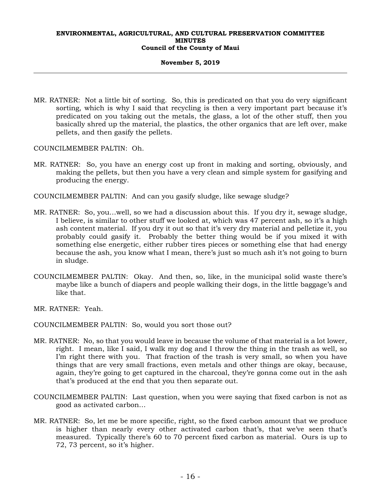## **November 5, 2019**

MR. RATNER: Not a little bit of sorting. So, this is predicated on that you do very significant sorting, which is why I said that recycling is then a very important part because it's predicated on you taking out the metals, the glass, a lot of the other stuff, then you basically shred up the material, the plastics, the other organics that are left over, make pellets, and then gasify the pellets.

COUNCILMEMBER PALTIN: Oh.

MR. RATNER: So, you have an energy cost up front in making and sorting, obviously, and making the pellets, but then you have a very clean and simple system for gasifying and producing the energy.

COUNCILMEMBER PALTIN: And can you gasify sludge, like sewage sludge?

- MR. RATNER: So, you…well, so we had a discussion about this. If you dry it, sewage sludge, I believe, is similar to other stuff we looked at, which was 47 percent ash, so it's a high ash content material. If you dry it out so that it's very dry material and pelletize it, you probably could gasify it. Probably the better thing would be if you mixed it with something else energetic, either rubber tires pieces or something else that had energy because the ash, you know what I mean, there's just so much ash it's not going to burn in sludge.
- COUNCILMEMBER PALTIN: Okay. And then, so, like, in the municipal solid waste there's maybe like a bunch of diapers and people walking their dogs, in the little baggage's and like that.
- MR. RATNER: Yeah.

COUNCILMEMBER PALTIN: So, would you sort those out?

- MR. RATNER: No, so that you would leave in because the volume of that material is a lot lower, right. I mean, like I said, I walk my dog and I throw the thing in the trash as well, so I'm right there with you. That fraction of the trash is very small, so when you have things that are very small fractions, even metals and other things are okay, because, again, they're going to get captured in the charcoal, they're gonna come out in the ash that's produced at the end that you then separate out.
- COUNCILMEMBER PALTIN: Last question, when you were saying that fixed carbon is not as good as activated carbon…
- MR. RATNER: So, let me be more specific, right, so the fixed carbon amount that we produce is higher than nearly every other activated carbon that's, that we've seen that's measured. Typically there's 60 to 70 percent fixed carbon as material. Ours is up to 72, 73 percent, so it's higher.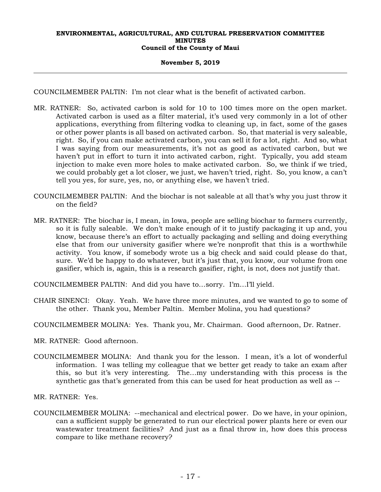## **November 5, 2019**

COUNCILMEMBER PALTIN: I'm not clear what is the benefit of activated carbon.

- MR. RATNER: So, activated carbon is sold for 10 to 100 times more on the open market. Activated carbon is used as a filter material, it's used very commonly in a lot of other applications, everything from filtering vodka to cleaning up, in fact, some of the gases or other power plants is all based on activated carbon. So, that material is very saleable, right. So, if you can make activated carbon, you can sell it for a lot, right. And so, what I was saying from our measurements, it's not as good as activated carbon, but we haven't put in effort to turn it into activated carbon, right. Typically, you add steam injection to make even more holes to make activated carbon. So, we think if we tried, we could probably get a lot closer, we just, we haven't tried, right. So, you know, a can't tell you yes, for sure, yes, no, or anything else, we haven't tried.
- COUNCILMEMBER PALTIN: And the biochar is not saleable at all that's why you just throw it on the field?
- MR. RATNER: The biochar is, I mean, in Iowa, people are selling biochar to farmers currently, so it is fully saleable. We don't make enough of it to justify packaging it up and, you know, because there's an effort to actually packaging and selling and doing everything else that from our university gasifier where we're nonprofit that this is a worthwhile activity. You know, if somebody wrote us a big check and said could please do that, sure. We'd be happy to do whatever, but it's just that, you know, our volume from one gasifier, which is, again, this is a research gasifier, right, is not, does not justify that.
- COUNCILMEMBER PALTIN: And did you have to…sorry. I'm…I'll yield.
- CHAIR SINENCI: Okay. Yeah. We have three more minutes, and we wanted to go to some of the other. Thank you, Member Paltin. Member Molina, you had questions?
- COUNCILMEMBER MOLINA: Yes. Thank you, Mr. Chairman. Good afternoon, Dr. Ratner.
- MR. RATNER: Good afternoon.
- COUNCILMEMBER MOLINA: And thank you for the lesson. I mean, it's a lot of wonderful information. I was telling my colleague that we better get ready to take an exam after this, so but it's very interesting. The…my understanding with this process is the synthetic gas that's generated from this can be used for heat production as well as --

MR. RATNER: Yes.

COUNCILMEMBER MOLINA: --mechanical and electrical power. Do we have, in your opinion, can a sufficient supply be generated to run our electrical power plants here or even our wastewater treatment facilities? And just as a final throw in, how does this process compare to like methane recovery?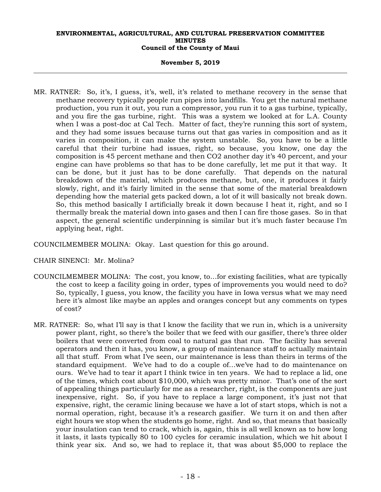## **November 5, 2019**

MR. RATNER: So, it's, I guess, it's, well, it's related to methane recovery in the sense that methane recovery typically people run pipes into landfills. You get the natural methane production, you run it out, you run a compressor, you run it to a gas turbine, typically, and you fire the gas turbine, right. This was a system we looked at for L.A. County when I was a post-doc at Cal Tech. Matter of fact, they're running this sort of system, and they had some issues because turns out that gas varies in composition and as it varies in composition, it can make the system unstable. So, you have to be a little careful that their turbine had issues, right, so because, you know, one day the composition is 45 percent methane and then CO2 another day it's 40 percent, and your engine can have problems so that has to be done carefully, let me put it that way. It can be done, but it just has to be done carefully. That depends on the natural breakdown of the material, which produces methane, but, one, it produces it fairly slowly, right, and it's fairly limited in the sense that some of the material breakdown depending how the material gets packed down, a lot of it will basically not break down. So, this method basically I artificially break it down because I heat it, right, and so I thermally break the material down into gases and then I can fire those gases. So in that aspect, the general scientific underpinning is similar but it's much faster because I'm applying heat, right.

COUNCILMEMBER MOLINA: Okay. Last question for this go around.

CHAIR SINENCI: Mr. Molina?

- COUNCILMEMBER MOLINA: The cost, you know, to…for existing facilities, what are typically the cost to keep a facility going in order, types of improvements you would need to do? So, typically, I guess, you know, the facility you have in Iowa versus what we may need here it's almost like maybe an apples and oranges concept but any comments on types of cost?
- MR. RATNER: So, what I'll say is that I know the facility that we run in, which is a university power plant, right, so there's the boiler that we feed with our gasifier, there's three older boilers that were converted from coal to natural gas that run. The facility has several operators and then it has, you know, a group of maintenance staff to actually maintain all that stuff. From what I've seen, our maintenance is less than theirs in terms of the standard equipment. We've had to do a couple of…we've had to do maintenance on ours. We've had to tear it apart I think twice in ten years. We had to replace a lid, one of the times, which cost about \$10,000, which was pretty minor. That's one of the sort of appealing things particularly for me as a researcher, right, is the components are just inexpensive, right. So, if you have to replace a large component, it's just not that expensive, right, the ceramic lining because we have a lot of start stops, which is not a normal operation, right, because it's a research gasifier. We turn it on and then after eight hours we stop when the students go home, right. And so, that means that basically your insulation can tend to crack, which is, again, this is all well known as to how long it lasts, it lasts typically 80 to 100 cycles for ceramic insulation, which we hit about I think year six. And so, we had to replace it, that was about \$5,000 to replace the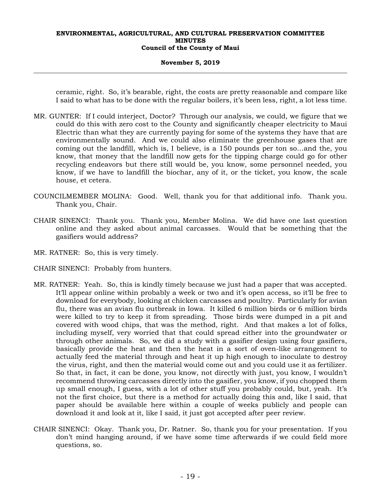## **November 5, 2019**

ceramic, right. So, it's bearable, right, the costs are pretty reasonable and compare like I said to what has to be done with the regular boilers, it's been less, right, a lot less time.

- MR. GUNTER: If I could interject, Doctor? Through our analysis, we could, we figure that we could do this with zero cost to the County and significantly cheaper electricity to Maui Electric than what they are currently paying for some of the systems they have that are environmentally sound. And we could also eliminate the greenhouse gases that are coming out the landfill, which is, I believe, is a 150 pounds per ton so…and the, you know, that money that the landfill now gets for the tipping charge could go for other recycling endeavors but there still would be, you know, some personnel needed, you know, if we have to landfill the biochar, any of it, or the ticket, you know, the scale house, et cetera.
- COUNCILMEMBER MOLINA: Good. Well, thank you for that additional info. Thank you. Thank you, Chair.
- CHAIR SINENCI: Thank you. Thank you, Member Molina. We did have one last question online and they asked about animal carcasses. Would that be something that the gasifiers would address?
- MR. RATNER: So, this is very timely.
- CHAIR SINENCI: Probably from hunters.
- MR. RATNER: Yeah. So, this is kindly timely because we just had a paper that was accepted. It'll appear online within probably a week or two and it's open access, so it'll be free to download for everybody, looking at chicken carcasses and poultry. Particularly for avian flu, there was an avian flu outbreak in Iowa. It killed 6 million birds or 6 million birds were killed to try to keep it from spreading. Those birds were dumped in a pit and covered with wood chips, that was the method, right. And that makes a lot of folks, including myself, very worried that that could spread either into the groundwater or through other animals. So, we did a study with a gasifier design using four gasifiers, basically provide the heat and then the heat in a sort of oven-like arrangement to actually feed the material through and heat it up high enough to inoculate to destroy the virus, right, and then the material would come out and you could use it as fertilizer. So that, in fact, it can be done, you know, not directly with just, you know, I wouldn't recommend throwing carcasses directly into the gasifier, you know, if you chopped them up small enough, I guess, with a lot of other stuff you probably could, but, yeah. It's not the first choice, but there is a method for actually doing this and, like I said, that paper should be available here within a couple of weeks publicly and people can download it and look at it, like I said, it just got accepted after peer review.
- CHAIR SINENCI: Okay. Thank you, Dr. Ratner. So, thank you for your presentation. If you don't mind hanging around, if we have some time afterwards if we could field more questions, so.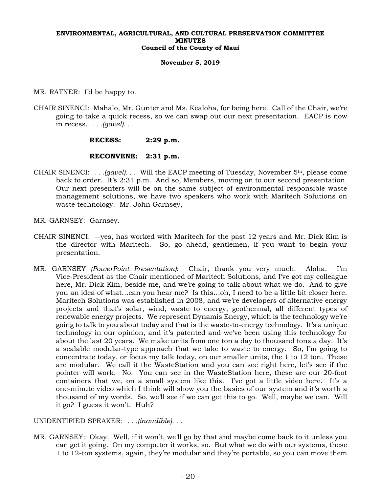## **November 5, 2019**

MR. RATNER: I'd be happy to.

CHAIR SINENCI: Mahalo, Mr. Gunter and Ms. Kealoha, for being here. Call of the Chair, we're going to take a quick recess, so we can swap out our next presentation. EACP is now in recess. *. . .(gavel). . .*

## **RECESS: 2:29 p.m.**

## **RECONVENE: 2:31 p.m.**

- CHAIR SINENCI: *. . .(gavel). . .* Will the EACP meeting of Tuesday, November 5th, please come back to order. It's 2:31 p.m. And so, Members, moving on to our second presentation. Our next presenters will be on the same subject of environmental responsible waste management solutions, we have two speakers who work with Maritech Solutions on waste technology. Mr. John Garnsey, --
- MR. GARNSEY: Garnsey.
- CHAIR SINENCI: --yes, has worked with Maritech for the past 12 years and Mr. Dick Kim is the director with Maritech. So, go ahead, gentlemen, if you want to begin your presentation.
- MR. GARNSEY *(PowerPoint Presentation)*: Chair, thank you very much. Aloha. I'm Vice-President as the Chair mentioned of Maritech Solutions, and I've got my colleague here, Mr. Dick Kim, beside me, and we're going to talk about what we do. And to give you an idea of what…can you hear me? Is this…oh, I need to be a little bit closer here. Maritech Solutions was established in 2008, and we're developers of alternative energy projects and that's solar, wind, waste to energy, geothermal, all different types of renewable energy projects. We represent Dynamis Energy, which is the technology we're going to talk to you about today and that is the waste-to-energy technology. It's a unique technology in our opinion, and it's patented and we've been using this technology for about the last 20 years. We make units from one ton a day to thousand tons a day. It's a scalable modular-type approach that we take to waste to energy. So, I'm going to concentrate today, or focus my talk today, on our smaller units, the 1 to 12 ton. These are modular. We call it the WasteStation and you can see right here, let's see if the pointer will work. No. You can see in the WasteStation here, these are our 20-foot containers that we, on a small system like this. I've got a little video here. It's a one-minute video which I think will show you the basics of our system and it's worth a thousand of my words. So, we'll see if we can get this to go. Well, maybe we can. Will it go? I guess it won't. Huh?

UNIDENTIFIED SPEAKER: *. . .(inaudible). . .*

MR. GARNSEY: Okay. Well, if it won't, we'll go by that and maybe come back to it unless you can get it going. On my computer it works, so. But what we do with our systems, these 1 to 12-ton systems, again, they're modular and they're portable, so you can move them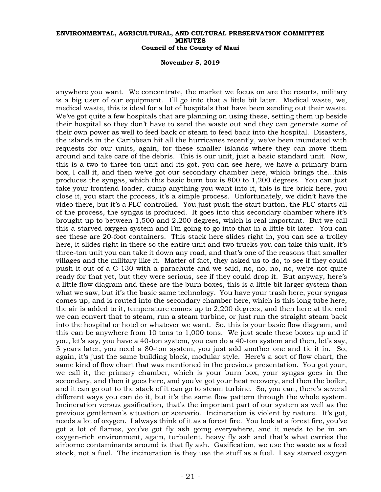#### **November 5, 2019**

anywhere you want. We concentrate, the market we focus on are the resorts, military is a big user of our equipment. I'll go into that a little bit later. Medical waste, we, medical waste, this is ideal for a lot of hospitals that have been sending out their waste. We've got quite a few hospitals that are planning on using these, setting them up beside their hospital so they don't have to send the waste out and they can generate some of their own power as well to feed back or steam to feed back into the hospital. Disasters, the islands in the Caribbean hit all the hurricanes recently, we've been inundated with requests for our units, again, for these smaller islands where they can move them around and take care of the debris. This is our unit, just a basic standard unit. Now, this is a two to three-ton unit and its got, you can see here, we have a primary burn box, I call it, and then we've got our secondary chamber here, which brings the…this produces the syngas, which this basic burn box is 800 to 1,200 degrees. You can just take your frontend loader, dump anything you want into it, this is fire brick here, you close it, you start the process, it's a simple process. Unfortunately, we didn't have the video there, but it's a PLC controlled. You just push the start button, the PLC starts all of the process, the syngas is produced. It goes into this secondary chamber where it's brought up to between 1,500 and 2,200 degrees, which is real important. But we call this a starved oxygen system and I'm going to go into that in a little bit later. You can see these are 20-foot containers. This stack here slides right in, you can see a trolley here, it slides right in there so the entire unit and two trucks you can take this unit, it's three-ton unit you can take it down any road, and that's one of the reasons that smaller villages and the military like it. Matter of fact, they asked us to do, to see if they could push it out of a C-130 with a parachute and we said, no, no, no, no, we're not quite ready for that yet, but they were serious, see if they could drop it. But anyway, here's a little flow diagram and these are the burn boxes, this is a little bit larger system than what we saw, but it's the basic same technology. You have your trash here, your syngas comes up, and is routed into the secondary chamber here, which is this long tube here, the air is added to it, temperature comes up to 2,200 degrees, and then here at the end we can convert that to steam, run a steam turbine, or just run the straight steam back into the hospital or hotel or whatever we want. So, this is your basic flow diagram, and this can be anywhere from 10 tons to 1,000 tons. We just scale these boxes up and if you, let's say, you have a 40-ton system, you can do a 40-ton system and then, let's say, 5 years later, you need a 80-ton system, you just add another one and tie it in. So, again, it's just the same building block, modular style. Here's a sort of flow chart, the same kind of flow chart that was mentioned in the previous presentation. You got your, we call it, the primary chamber, which is your burn box, your syngas goes in the secondary, and then it goes here, and you've got your heat recovery, and then the boiler, and it can go out to the stack of it can go to steam turbine. So, you can, there's several different ways you can do it, but it's the same flow pattern through the whole system. Incineration versus gasification, that's the important part of our system as well as the previous gentleman's situation or scenario. Incineration is violent by nature. It's got, needs a lot of oxygen. I always think of it as a forest fire. You look at a forest fire, you've got a lot of flames, you've got fly ash going everywhere, and it needs to be in an oxygen-rich environment, again, turbulent, heavy fly ash and that's what carries the airborne contaminants around is that fly ash. Gasification, we use the waste as a feed stock, not a fuel. The incineration is they use the stuff as a fuel. I say starved oxygen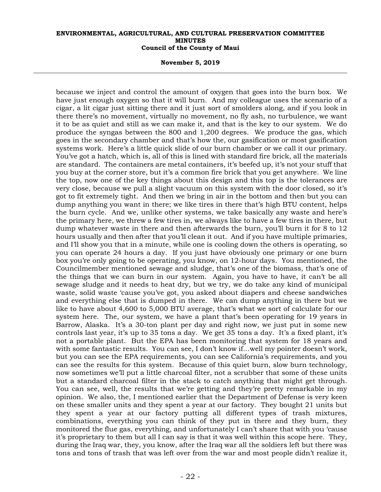#### **November 5, 2019**

because we inject and control the amount of oxygen that goes into the burn box. We have just enough oxygen so that it will burn. And my colleague uses the scenario of a cigar, a lit cigar just sitting there and it just sort of smolders along, and if you look in there there's no movement, virtually no movement, no fly ash, no turbulence, we want it to be as quiet and still as we can make it, and that is the key to our system. We do produce the syngas between the 800 and 1,200 degrees. We produce the gas, which goes in the secondary chamber and that's how the, our gasification or most gasification systems work. Here's a little quick slide of our burn chamber or we call it our primary. You've got a hatch, which is, all of this is lined with standard fire brick, all the materials are standard. The containers are metal containers, it's beefed up, it's not your stuff that you buy at the corner store, but it's a common fire brick that you get anywhere. We line the top, now one of the key things about this design and this top is the tolerances are very close, because we pull a slight vacuum on this system with the door closed, so it's got to fit extremely tight. And then we bring in air in the bottom and then but you can dump anything you want in there; we like tires in there that's high BTU content, helps the burn cycle. And we, unlike other systems, we take basically any waste and here's the primary here, we threw a few tires in, we always like to have a few tires in there, but dump whatever waste in there and then afterwards the burn, you'll burn it for 8 to 12 hours usually and then after that you'll clean it out. And if you have multiple primaries, and I'll show you that in a minute, while one is cooling down the others is operating, so you can operate 24 hours a day. If you just have obviously one primary or one burn box you're only going to be operating, you know, on 12-hour days. You mentioned, the Councilmember mentioned sewage and sludge, that's one of the biomass, that's one of the things that we can burn in our system. Again, you have to have, it can't be all sewage sludge and it needs to heat dry, but we try, we do take any kind of municipal waste, solid waste 'cause you've got, you asked about diapers and cheese sandwiches and everything else that is dumped in there. We can dump anything in there but we like to have about 4,600 to 5,000 BTU average, that's what we sort of calculate for our system here. The, our system, we have a plant that's been operating for 19 years in Barrow, Alaska. It's a 30-ton plant per day and right now, we just put in some new controls last year, it's up to 35 tons a day. We get 35 tons a day. It's a fixed plant, it's not a portable plant. But the EPA has been monitoring that system for 18 years and with some fantastic results. You can see, I don't know if…well my pointer doesn't work, but you can see the EPA requirements, you can see California's requirements, and you can see the results for this system. Because of this quiet burn, slow burn technology, now sometimes we'll put a little charcoal filter, not a scrubber that some of these units but a standard charcoal filter in the stack to catch anything that might get through. You can see, well, the results that we're getting and they're pretty remarkable in my opinion. We also, the, I mentioned earlier that the Department of Defense is very keen on these smaller units and they spent a year at our factory. They bought 21 units but they spent a year at our factory putting all different types of trash mixtures, combinations, everything you can think of they put in there and they burn, they monitored the flue gas, everything, and unfortunately I can't share that with you 'cause it's proprietary to them but all I can say is that it was well within this scope here. They, during the Iraq war, they, you know, after the Iraq war all the soldiers left but there was tons and tons of trash that was left over from the war and most people didn't realize it,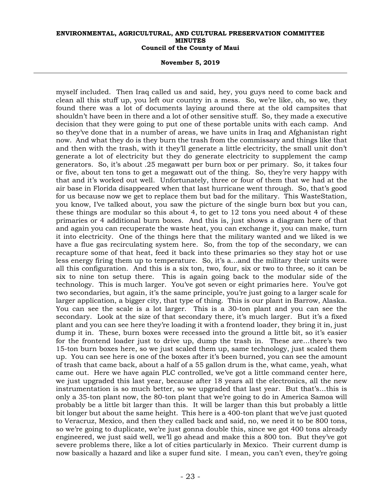**November 5, 2019** 

myself included. Then Iraq called us and said, hey, you guys need to come back and clean all this stuff up, you left our country in a mess. So, we're like, oh, so we, they found there was a lot of documents laying around there at the old campsites that shouldn't have been in there and a lot of other sensitive stuff. So, they made a executive decision that they were going to put one of these portable units with each camp. And so they've done that in a number of areas, we have units in Iraq and Afghanistan right now. And what they do is they burn the trash from the commissary and things like that and then with the trash, with it they'll generate a little electricity, the small unit don't generate a lot of electricity but they do generate electricity to supplement the camp generators. So, it's about .25 megawatt per burn box or per primary. So, it takes four or five, about ten tons to get a megawatt out of the thing. So, they're very happy with that and it's worked out well. Unfortunately, three or four of them that we had at the air base in Florida disappeared when that last hurricane went through. So, that's good for us because now we get to replace them but bad for the military. This WasteStation, you know, I've talked about, you saw the picture of the single burn box but you can, these things are modular so this about 4, to get to 12 tons you need about 4 of these primaries or 4 additional burn boxes. And this is, just shows a diagram here of that and again you can recuperate the waste heat, you can exchange it, you can make, turn it into electricity. One of the things here that the military wanted and we liked is we have a flue gas recirculating system here. So, from the top of the secondary, we can recapture some of that heat, feed it back into these primaries so they stay hot or use less energy firing them up to temperature. So, it's a…and the military their units were all this configuration. And this is a six ton, two, four, six or two to three, so it can be six to nine ton setup there. This is again going back to the modular side of the technology. This is much larger. You've got seven or eight primaries here. You've got two secondaries, but again, it's the same principle, you're just going to a larger scale for larger application, a bigger city, that type of thing. This is our plant in Barrow, Alaska. You can see the scale is a lot larger. This is a 30-ton plant and you can see the secondary. Look at the size of that secondary there, it's much larger. But it's a fixed plant and you can see here they're loading it with a frontend loader, they bring it in, just dump it in. These, burn boxes were recessed into the ground a little bit, so it's easier for the frontend loader just to drive up, dump the trash in. These are…there's two 15-ton burn boxes here, so we just scaled them up, same technology, just scaled them up. You can see here is one of the boxes after it's been burned, you can see the amount of trash that came back, about a half of a 55 gallon drum is the, what came, yeah, what came out. Here we have again PLC controlled, we've got a little command center here, we just upgraded this last year, because after 18 years all the electronics, all the new instrumentation is so much better, so we upgraded that last year. But that's…this is only a 35-ton plant now, the 80-ton plant that we're going to do in America Samoa will probably be a little bit larger than this. It will be larger than this but probably a little bit longer but about the same height. This here is a 400-ton plant that we've just quoted to Veracruz, Mexico, and then they called back and said, no, we need it to be 800 tons, so we're going to duplicate, we're just gonna double this, since we got 400 tons already engineered, we just said well, we'll go ahead and make this a 800 ton. But they've got severe problems there, like a lot of cities particularly in Mexico. Their current dump is now basically a hazard and like a super fund site. I mean, you can't even, they're going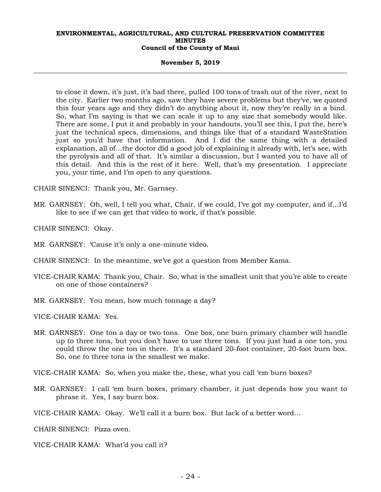#### **November 5, 2019**

to close it down, it's just, it's bad there, pulled 100 tons of trash out of the river, next to the city. Earlier two months ago, saw they have severe problems but they've, we quoted this four years ago and they didn't do anything about it, now they're really in a bind. So, what I'm saying is that we can scale it up to any size that somebody would like. There are some, I put it and probably in your handouts, you'll see this, I put the, here's just the technical specs, dimensions, and things like that of a standard WasteStation just so you'd have that information. And I did the same thing with a detailed explanation, all of…the doctor did a good job of explaining it already with, let's see, with the pyrolysis and all of that. It's similar a discussion, but I wanted you to have all of this detail. And this is the rest of it here. Well, that's my presentation. I appreciate you, your time, and I'm open to any questions.

CHAIR SINENCI: Thank you, Mr. Garnsey.

- MR. GARNSEY: Oh, well, I tell you what, Chair, if we could, I've got my computer, and if…I'd like to see if we can get that video to work, if that's possible.
- CHAIR SINENCI: Okay.

MR. GARNSEY: 'Cause it's only a one-minute video.

CHAIR SINENCI: In the meantime, we've got a question from Member Kama.

- VICE-CHAIR KAMA: Thank you, Chair. So, what is the smallest unit that you're able to create on one of those containers?
- MR. GARNSEY: You mean, how much tonnage a day?

VICE-CHAIR KAMA: Yes.

MR. GARNSEY: One ton a day or two tons. One box, one burn primary chamber will handle up to three tons, but you don't have to use three tons. If you just had a one ton, you could throw the one ton in there. It's a standard 20-foot container, 20-foot burn box. So, one to three tons is the smallest we make.

VICE-CHAIR KAMA: So, when you make the, these, what you call 'em burn boxes?

MR. GARNSEY: I call 'em burn boxes, primary chamber, it just depends how you want to phrase it. Yes, I say burn box.

VICE-CHAIR KAMA: Okay. We'll call it a burn box. But lack of a better word…

CHAIR SINENCI: Pizza oven.

VICE-CHAIR KAMA: What'd you call it?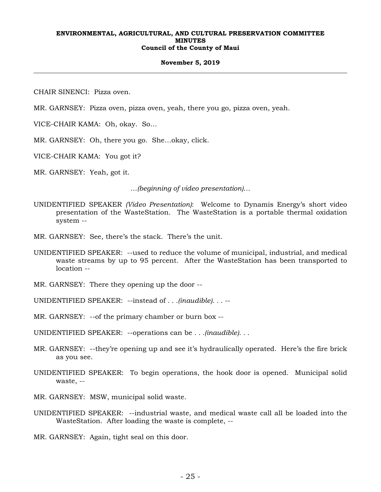#### **November 5, 2019**

CHAIR SINENCI: Pizza oven.

MR. GARNSEY: Pizza oven, pizza oven, yeah, there you go, pizza oven, yeah.

VICE-CHAIR KAMA: Oh, okay. So…

MR. GARNSEY: Oh, there you go. She…okay, click.

VICE-CHAIR KAMA: You got it?

MR. GARNSEY: Yeah, got it.

*…(beginning of video presentation)…* 

- UNIDENTIFIED SPEAKER *(Video Presentation)*: Welcome to Dynamis Energy's short video presentation of the WasteStation. The WasteStation is a portable thermal oxidation system --
- MR. GARNSEY: See, there's the stack. There's the unit.
- UNIDENTIFIED SPEAKER: --used to reduce the volume of municipal, industrial, and medical waste streams by up to 95 percent. After the WasteStation has been transported to location --
- MR. GARNSEY: There they opening up the door --
- UNIDENTIFIED SPEAKER: --instead of *. . .(inaudible). . .* --
- MR. GARNSEY: --of the primary chamber or burn box --

UNIDENTIFIED SPEAKER: --operations can be *. . .(inaudible). . .* 

- MR. GARNSEY: --they're opening up and see it's hydraulically operated. Here's the fire brick as you see.
- UNIDENTIFIED SPEAKER: To begin operations, the hook door is opened. Municipal solid waste, --
- MR. GARNSEY: MSW, municipal solid waste.
- UNIDENTIFIED SPEAKER: --industrial waste, and medical waste call all be loaded into the WasteStation. After loading the waste is complete, --

MR. GARNSEY: Again, tight seal on this door.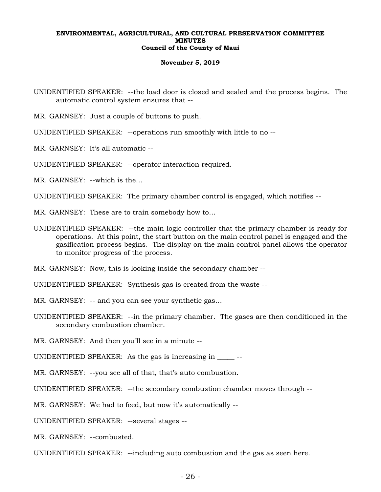#### **November 5, 2019**

UNIDENTIFIED SPEAKER: --the load door is closed and sealed and the process begins. The automatic control system ensures that --

MR. GARNSEY: Just a couple of buttons to push.

UNIDENTIFIED SPEAKER: --operations run smoothly with little to no --

MR. GARNSEY: It's all automatic --

UNIDENTIFIED SPEAKER: --operator interaction required.

MR. GARNSEY: --which is the…

UNIDENTIFIED SPEAKER: The primary chamber control is engaged, which notifies --

MR. GARNSEY: These are to train somebody how to…

UNIDENTIFIED SPEAKER: --the main logic controller that the primary chamber is ready for operations. At this point, the start button on the main control panel is engaged and the gasification process begins. The display on the main control panel allows the operator to monitor progress of the process.

MR. GARNSEY: Now, this is looking inside the secondary chamber --

UNIDENTIFIED SPEAKER: Synthesis gas is created from the waste --

MR. GARNSEY: -- and you can see your synthetic gas…

UNIDENTIFIED SPEAKER: --in the primary chamber. The gases are then conditioned in the secondary combustion chamber.

MR. GARNSEY: And then you'll see in a minute --

UNIDENTIFIED SPEAKER: As the gas is increasing in  $-$ 

MR. GARNSEY: --you see all of that, that's auto combustion.

UNIDENTIFIED SPEAKER: --the secondary combustion chamber moves through --

MR. GARNSEY: We had to feed, but now it's automatically --

UNIDENTIFIED SPEAKER: --several stages --

MR. GARNSEY: --combusted.

UNIDENTIFIED SPEAKER: --including auto combustion and the gas as seen here.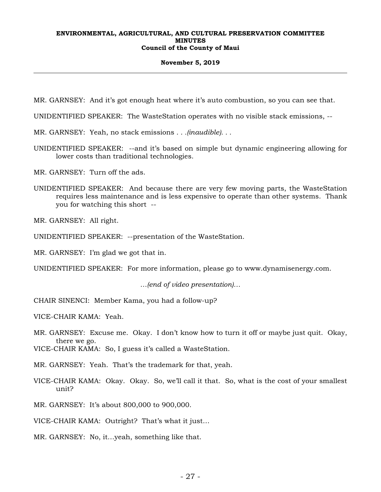#### **November 5, 2019**

MR. GARNSEY: And it's got enough heat where it's auto combustion, so you can see that.

UNIDENTIFIED SPEAKER: The WasteStation operates with no visible stack emissions, --

MR. GARNSEY: Yeah, no stack emissions *. . .(inaudible). . .*

UNIDENTIFIED SPEAKER: --and it's based on simple but dynamic engineering allowing for lower costs than traditional technologies.

MR. GARNSEY: Turn off the ads.

UNIDENTIFIED SPEAKER: And because there are very few moving parts, the WasteStation requires less maintenance and is less expensive to operate than other systems. Thank you for watching this short --

MR. GARNSEY: All right.

UNIDENTIFIED SPEAKER: --presentation of the WasteStation.

MR. GARNSEY: I'm glad we got that in.

UNIDENTIFIED SPEAKER: For more information, please go to www.dynamisenergy.com.

*…(end of video presentation)…* 

CHAIR SINENCI: Member Kama, you had a follow-up?

VICE-CHAIR KAMA: Yeah.

MR. GARNSEY: Excuse me. Okay. I don't know how to turn it off or maybe just quit. Okay, there we go.

VICE-CHAIR KAMA: So, I guess it's called a WasteStation.

MR. GARNSEY: Yeah. That's the trademark for that, yeah.

VICE-CHAIR KAMA: Okay. Okay. So, we'll call it that. So, what is the cost of your smallest unit?

MR. GARNSEY: It's about 800,000 to 900,000.

VICE-CHAIR KAMA: Outright? That's what it just…

MR. GARNSEY: No, it…yeah, something like that.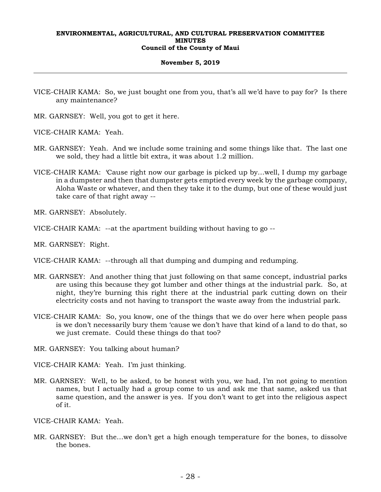## **November 5, 2019**

- VICE-CHAIR KAMA: So, we just bought one from you, that's all we'd have to pay for? Is there any maintenance?
- MR. GARNSEY: Well, you got to get it here.
- VICE-CHAIR KAMA: Yeah.
- MR. GARNSEY: Yeah. And we include some training and some things like that. The last one we sold, they had a little bit extra, it was about 1.2 million.
- VICE-CHAIR KAMA: 'Cause right now our garbage is picked up by…well, I dump my garbage in a dumpster and then that dumpster gets emptied every week by the garbage company, Aloha Waste or whatever, and then they take it to the dump, but one of these would just take care of that right away --

MR. GARNSEY: Absolutely.

VICE-CHAIR KAMA: --at the apartment building without having to go --

MR. GARNSEY: Right.

- VICE-CHAIR KAMA: --through all that dumping and dumping and redumping.
- MR. GARNSEY: And another thing that just following on that same concept, industrial parks are using this because they got lumber and other things at the industrial park. So, at night, they're burning this right there at the industrial park cutting down on their electricity costs and not having to transport the waste away from the industrial park.
- VICE-CHAIR KAMA: So, you know, one of the things that we do over here when people pass is we don't necessarily bury them 'cause we don't have that kind of a land to do that, so we just cremate. Could these things do that too?
- MR. GARNSEY: You talking about human?

VICE-CHAIR KAMA: Yeah. I'm just thinking.

MR. GARNSEY: Well, to be asked, to be honest with you, we had, I'm not going to mention names, but I actually had a group come to us and ask me that same, asked us that same question, and the answer is yes. If you don't want to get into the religious aspect of it.

VICE-CHAIR KAMA: Yeah.

MR. GARNSEY: But the…we don't get a high enough temperature for the bones, to dissolve the bones.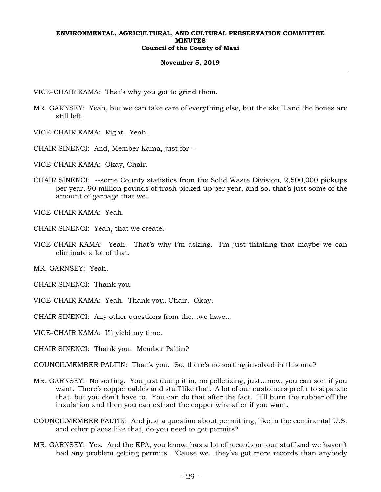## **November 5, 2019**

VICE-CHAIR KAMA: That's why you got to grind them.

- MR. GARNSEY: Yeah, but we can take care of everything else, but the skull and the bones are still left.
- VICE-CHAIR KAMA: Right. Yeah.
- CHAIR SINENCI: And, Member Kama, just for --
- VICE-CHAIR KAMA: Okay, Chair.
- CHAIR SINENCI: --some County statistics from the Solid Waste Division, 2,500,000 pickups per year, 90 million pounds of trash picked up per year, and so, that's just some of the amount of garbage that we…

VICE-CHAIR KAMA: Yeah.

- CHAIR SINENCI: Yeah, that we create.
- VICE-CHAIR KAMA: Yeah. That's why I'm asking. I'm just thinking that maybe we can eliminate a lot of that.

MR. GARNSEY: Yeah.

CHAIR SINENCI: Thank you.

- VICE-CHAIR KAMA: Yeah. Thank you, Chair. Okay.
- CHAIR SINENCI: Any other questions from the…we have…

VICE-CHAIR KAMA: I'll yield my time.

CHAIR SINENCI: Thank you. Member Paltin?

COUNCILMEMBER PALTIN: Thank you. So, there's no sorting involved in this one?

- MR. GARNSEY: No sorting. You just dump it in, no pelletizing, just…now, you can sort if you want. There's copper cables and stuff like that. A lot of our customers prefer to separate that, but you don't have to. You can do that after the fact. It'll burn the rubber off the insulation and then you can extract the copper wire after if you want.
- COUNCILMEMBER PALTIN: And just a question about permitting, like in the continental U.S. and other places like that, do you need to get permits?
- MR. GARNSEY: Yes. And the EPA, you know, has a lot of records on our stuff and we haven't had any problem getting permits. 'Cause we…they've got more records than anybody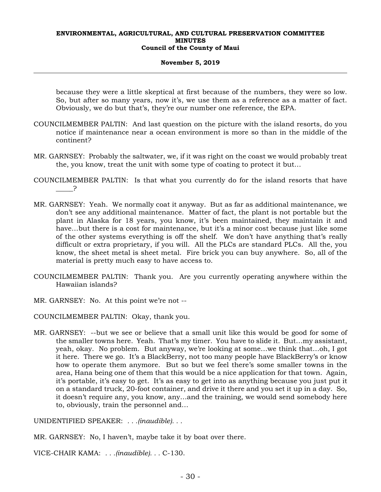#### **November 5, 2019**

because they were a little skeptical at first because of the numbers, they were so low. So, but after so many years, now it's, we use them as a reference as a matter of fact. Obviously, we do but that's, they're our number one reference, the EPA.

- COUNCILMEMBER PALTIN: And last question on the picture with the island resorts, do you notice if maintenance near a ocean environment is more so than in the middle of the continent?
- MR. GARNSEY: Probably the saltwater, we, if it was right on the coast we would probably treat the, you know, treat the unit with some type of coating to protect it but…
- COUNCILMEMBER PALTIN: Is that what you currently do for the island resorts that have  $\overline{P}$
- MR. GARNSEY: Yeah. We normally coat it anyway. But as far as additional maintenance, we don't see any additional maintenance. Matter of fact, the plant is not portable but the plant in Alaska for 18 years, you know, it's been maintained, they maintain it and have…but there is a cost for maintenance, but it's a minor cost because just like some of the other systems everything is off the shelf. We don't have anything that's really difficult or extra proprietary, if you will. All the PLCs are standard PLCs. All the, you know, the sheet metal is sheet metal. Fire brick you can buy anywhere. So, all of the material is pretty much easy to have access to.
- COUNCILMEMBER PALTIN: Thank you. Are you currently operating anywhere within the Hawaiian islands?
- MR. GARNSEY: No. At this point we're not --

COUNCILMEMBER PALTIN: Okay, thank you.

MR. GARNSEY: --but we see or believe that a small unit like this would be good for some of the smaller towns here. Yeah. That's my timer. You have to slide it. But…my assistant, yeah, okay. No problem. But anyway, we're looking at some…we think that…oh, I got it here. There we go. It's a BlackBerry, not too many people have BlackBerry's or know how to operate them anymore. But so but we feel there's some smaller towns in the area, Hana being one of them that this would be a nice application for that town. Again, it's portable, it's easy to get. It's as easy to get into as anything because you just put it on a standard truck, 20-foot container, and drive it there and you set it up in a day. So, it doesn't require any, you know, any…and the training, we would send somebody here to, obviously, train the personnel and…

UNIDENTIFIED SPEAKER: *. . .(inaudible). . .*

MR. GARNSEY: No, I haven't, maybe take it by boat over there.

VICE-CHAIR KAMA: *. . .(inaudible). . .* C-130.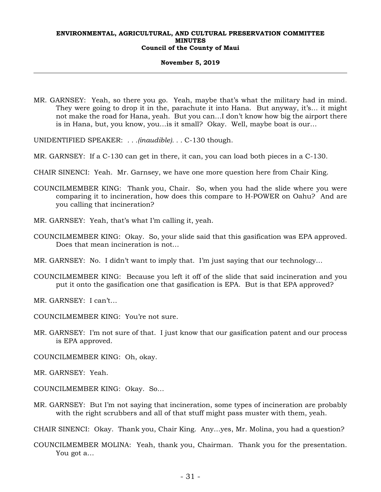#### **November 5, 2019**

- MR. GARNSEY: Yeah, so there you go. Yeah, maybe that's what the military had in mind. They were going to drop it in the, parachute it into Hana. But anyway, it's… it might not make the road for Hana, yeah. But you can…I don't know how big the airport there is in Hana, but, you know, you…is it small? Okay. Well, maybe boat is our…
- UNIDENTIFIED SPEAKER: *. . .(inaudible). . .* C-130 though.
- MR. GARNSEY: If a C-130 can get in there, it can, you can load both pieces in a C-130.
- CHAIR SINENCI: Yeah. Mr. Garnsey, we have one more question here from Chair King.
- COUNCILMEMBER KING: Thank you, Chair. So, when you had the slide where you were comparing it to incineration, how does this compare to H-POWER on Oahu? And are you calling that incineration?
- MR. GARNSEY: Yeah, that's what I'm calling it, yeah.
- COUNCILMEMBER KING: Okay. So, your slide said that this gasification was EPA approved. Does that mean incineration is not…
- MR. GARNSEY: No. I didn't want to imply that. I'm just saying that our technology…
- COUNCILMEMBER KING: Because you left it off of the slide that said incineration and you put it onto the gasification one that gasification is EPA. But is that EPA approved?
- MR. GARNSEY: I can't…
- COUNCILMEMBER KING: You're not sure.
- MR. GARNSEY: I'm not sure of that. I just know that our gasification patent and our process is EPA approved.
- COUNCILMEMBER KING: Oh, okay.
- MR. GARNSEY: Yeah.
- COUNCILMEMBER KING: Okay. So…
- MR. GARNSEY: But I'm not saying that incineration, some types of incineration are probably with the right scrubbers and all of that stuff might pass muster with them, yeah.

CHAIR SINENCI: Okay. Thank you, Chair King. Any…yes, Mr. Molina, you had a question?

COUNCILMEMBER MOLINA: Yeah, thank you, Chairman. Thank you for the presentation. You got a…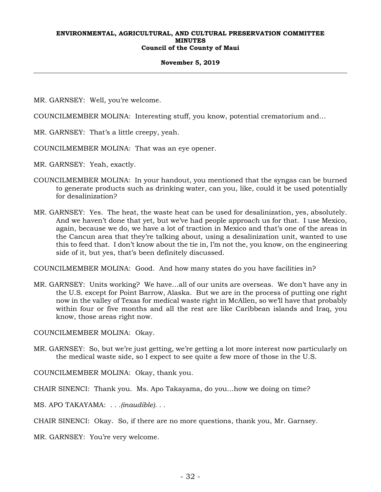## **November 5, 2019**

- MR. GARNSEY: Well, you're welcome.
- COUNCILMEMBER MOLINA: Interesting stuff, you know, potential crematorium and…
- MR. GARNSEY: That's a little creepy, yeah.
- COUNCILMEMBER MOLINA: That was an eye opener.
- MR. GARNSEY: Yeah, exactly.
- COUNCILMEMBER MOLINA: In your handout, you mentioned that the syngas can be burned to generate products such as drinking water, can you, like, could it be used potentially for desalinization?
- MR. GARNSEY: Yes. The heat, the waste heat can be used for desalinization, yes, absolutely. And we haven't done that yet, but we've had people approach us for that. I use Mexico, again, because we do, we have a lot of traction in Mexico and that's one of the areas in the Cancun area that they're talking about, using a desalinization unit, wanted to use this to feed that. I don't know about the tie in, I'm not the, you know, on the engineering side of it, but yes, that's been definitely discussed.

COUNCILMEMBER MOLINA: Good. And how many states do you have facilities in?

MR. GARNSEY: Units working? We have…all of our units are overseas. We don't have any in the U.S. except for Point Barrow, Alaska. But we are in the process of putting one right now in the valley of Texas for medical waste right in McAllen, so we'll have that probably within four or five months and all the rest are like Caribbean islands and Iraq, you know, those areas right now.

COUNCILMEMBER MOLINA: Okay.

MR. GARNSEY: So, but we're just getting, we're getting a lot more interest now particularly on the medical waste side, so I expect to see quite a few more of those in the U.S.

COUNCILMEMBER MOLINA: Okay, thank you.

CHAIR SINENCI: Thank you. Ms. Apo Takayama, do you…how we doing on time?

MS. APO TAKAYAMA: *. . .(inaudible). . .*

CHAIR SINENCI: Okay. So, if there are no more questions, thank you, Mr. Garnsey.

MR. GARNSEY: You're very welcome.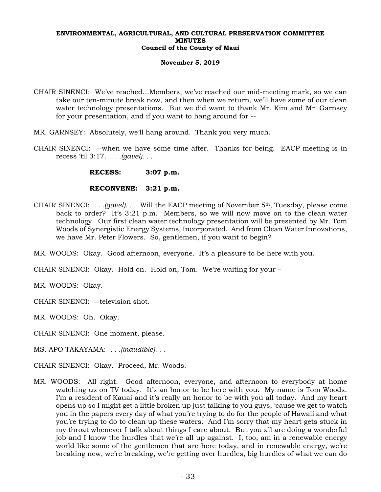## **November 5, 2019**

- CHAIR SINENCI: We've reached…Members, we've reached our mid-meeting mark, so we can take our ten-minute break now, and then when we return, we'll have some of our clean water technology presentations. But we did want to thank Mr. Kim and Mr. Garnsey for your presentation, and if you want to hang around for --
- MR. GARNSEY: Absolutely, we'll hang around. Thank you very much.
- CHAIR SINENCI: --when we have some time after. Thanks for being. EACP meeting is in recess 'til 3:17. *. . .(gavel). . .*

 **RECESS: 3:07 p.m.** 

## **RECONVENE: 3:21 p.m.**

CHAIR SINENCI: *. . .(gavel). . .* Will the EACP meeting of November 5th, Tuesday, please come back to order? It's 3:21 p.m. Members, so we will now move on to the clean water technology. Our first clean water technology presentation will be presented by Mr. Tom Woods of Synergistic Energy Systems, Incorporated. And from Clean Water Innovations, we have Mr. Peter Flowers. So, gentlemen, if you want to begin?

MR. WOODS: Okay. Good afternoon, everyone. It's a pleasure to be here with you.

CHAIR SINENCI: Okay. Hold on. Hold on, Tom. We're waiting for your –

MR. WOODS: Okay.

CHAIR SINENCI: --television shot.

MR. WOODS: Oh. Okay.

CHAIR SINENCI: One moment, please.

MS. APO TAKAYAMA: *. . .(inaudible). . .*

CHAIR SINENCI: Okay. Proceed, Mr. Woods.

MR. WOODS: All right. Good afternoon, everyone, and afternoon to everybody at home watching us on TV today. It's an honor to be here with you. My name is Tom Woods. I'm a resident of Kauai and it's really an honor to be with you all today. And my heart opens up so I might get a little broken up just talking to you guys, 'cause we get to watch you in the papers every day of what you're trying to do for the people of Hawaii and what you're trying to do to clean up these waters. And I'm sorry that my heart gets stuck in my throat whenever I talk about things I care about. But you all are doing a wonderful job and I know the hurdles that we're all up against. I, too, am in a renewable energy world like some of the gentlemen that are here today, and in renewable energy, we're breaking new, we're breaking, we're getting over hurdles, big hurdles of what we can do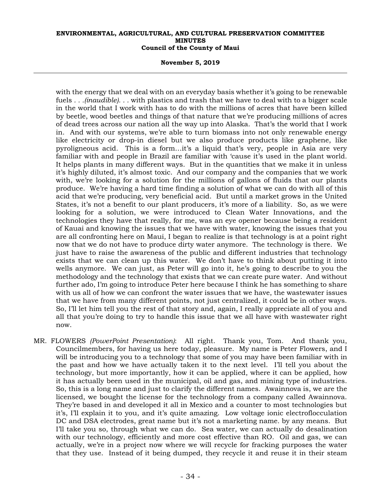#### **November 5, 2019**

with the energy that we deal with on an everyday basis whether it's going to be renewable fuels *. . .(inaudible). . .* with plastics and trash that we have to deal with to a bigger scale in the world that I work with has to do with the millions of acres that have been killed by beetle, wood beetles and things of that nature that we're producing millions of acres of dead trees across our nation all the way up into Alaska. That's the world that I work in. And with our systems, we're able to turn biomass into not only renewable energy like electricity or drop-in diesel but we also produce products like graphene, like pyroligneous acid. This is a form…it's a liquid that's very, people in Asia are very familiar with and people in Brazil are familiar with 'cause it's used in the plant world. It helps plants in many different ways. But in the quantities that we make it in unless it's highly diluted, it's almost toxic. And our company and the companies that we work with, we're looking for a solution for the millions of gallons of fluids that our plants produce. We're having a hard time finding a solution of what we can do with all of this acid that we're producing, very beneficial acid. But until a market grows in the United States, it's not a benefit to our plant producers, it's more of a liability. So, as we were looking for a solution, we were introduced to Clean Water Innovations, and the technologies they have that really, for me, was an eye opener because being a resident of Kauai and knowing the issues that we have with water, knowing the issues that you are all confronting here on Maui, I began to realize is that technology is at a point right now that we do not have to produce dirty water anymore. The technology is there. We just have to raise the awareness of the public and different industries that technology exists that we can clean up this water. We don't have to think about putting it into wells anymore. We can just, as Peter will go into it, he's going to describe to you the methodology and the technology that exists that we can create pure water. And without further ado, I'm going to introduce Peter here because I think he has something to share with us all of how we can confront the water issues that we have, the wastewater issues that we have from many different points, not just centralized, it could be in other ways. So, I'll let him tell you the rest of that story and, again, I really appreciate all of you and all that you're doing to try to handle this issue that we all have with wastewater right now.

MR. FLOWERS *(PowerPoint Presentation)*: All right. Thank you, Tom. And thank you, Councilmembers, for having us here today, pleasure. My name is Peter Flowers, and I will be introducing you to a technology that some of you may have been familiar with in the past and how we have actually taken it to the next level. I'll tell you about the technology, but more importantly, how it can be applied, where it can be applied, how it has actually been used in the municipal, oil and gas, and mining type of industries. So, this is a long name and just to clarify the different names. Awainnova is, we are the licensed, we bought the license for the technology from a company called Awainnova. They're based in and developed it all in Mexico and a counter to most technologies but it's, I'll explain it to you, and it's quite amazing. Low voltage ionic electroflocculation DC and DSA electrodes, great name but it's not a marketing name*.* by any means. But I'll take you so, through what we can do. Sea water, we can actually do desalination with our technology, efficiently and more cost effective than RO. Oil and gas, we can actually, we're in a project now where we will recycle for fracking purposes the water that they use. Instead of it being dumped, they recycle it and reuse it in their steam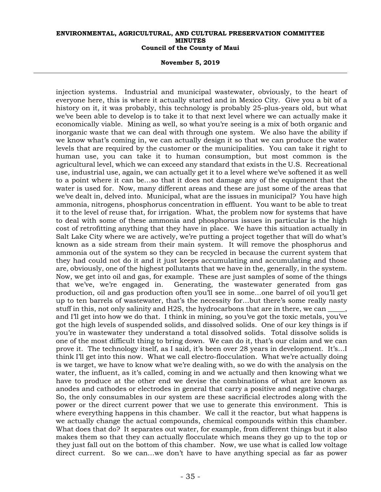#### **November 5, 2019**

injection systems. Industrial and municipal wastewater, obviously, to the heart of everyone here, this is where it actually started and in Mexico City. Give you a bit of a history on it, it was probably, this technology is probably 25-plus-years old, but what we've been able to develop is to take it to that next level where we can actually make it economically viable. Mining as well, so what you're seeing is a mix of both organic and inorganic waste that we can deal with through one system. We also have the ability if we know what's coming in, we can actually design it so that we can produce the water levels that are required by the customer or the municipalities. You can take it right to human use, you can take it to human consumption, but most common is the agricultural level, which we can exceed any standard that exists in the U.S. Recreational use, industrial use, again, we can actually get it to a level where we've softened it as well to a point where it can be…so that it does not damage any of the equipment that the water is used for. Now, many different areas and these are just some of the areas that we've dealt in, delved into. Municipal, what are the issues in municipal? You have high ammonia, nitrogens, phosphorus concentration in effluent. You want to be able to treat it to the level of reuse that, for irrigation. What, the problem now for systems that have to deal with some of these ammonia and phosphorus issues in particular is the high cost of retrofitting anything that they have in place. We have this situation actually in Salt Lake City where we are actively, we're putting a project together that will do what's known as a side stream from their main system. It will remove the phosphorus and ammonia out of the system so they can be recycled in because the current system that they had could not do it and it just keeps accumulating and accumulating and those are, obviously, one of the highest pollutants that we have in the, generally, in the system. Now, we get into oil and gas, for example. These are just samples of some of the things that we've, we're engaged in. Generating, the wastewater generated from gas production, oil and gas production often you'll see in some…one barrel of oil you'll get up to ten barrels of wastewater, that's the necessity for…but there's some really nasty stuff in this, not only salinity and H2S, the hydrocarbons that are in there, we can and I'll get into how we do that. I think in mining, so you've got the toxic metals, you've got the high levels of suspended solids, and dissolved solids. One of our key things is if you're in wastewater they understand a total dissolved solids. Total dissolve solids is one of the most difficult thing to bring down. We can do it, that's our claim and we can prove it. The technology itself, as I said, it's been over 28 years in development. It's…I think I'll get into this now. What we call electro-flocculation. What we're actually doing is we target, we have to know what we're dealing with, so we do with the analysis on the water, the influent, as it's called, coming in and we actually and then knowing what we have to produce at the other end we devise the combinations of what are known as anodes and cathodes or electrodes in general that carry a positive and negative charge. So, the only consumables in our system are these sacrificial electrodes along with the power or the direct current power that we use to generate this environment. This is where everything happens in this chamber. We call it the reactor, but what happens is we actually change the actual compounds, chemical compounds within this chamber. What does that do? It separates out water, for example, from different things but it also makes them so that they can actually flocculate which means they go up to the top or they just fall out on the bottom of this chamber. Now, we use what is called low voltage direct current. So we can…we don't have to have anything special as far as power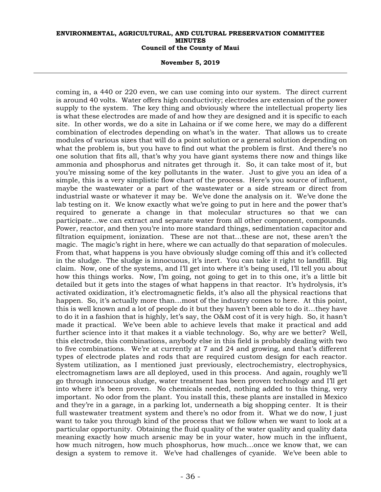#### **November 5, 2019**

coming in, a 440 or 220 even, we can use coming into our system. The direct current is around 40 volts. Water offers high conductivity; electrodes are extension of the power supply to the system. The key thing and obviously where the intellectual property lies is what these electrodes are made of and how they are designed and it is specific to each site. In other words, we do a site in Lahaina or if we come here, we may do a different combination of electrodes depending on what's in the water. That allows us to create modules of various sizes that will do a point solution or a general solution depending on what the problem is, but you have to find out what the problem is first. And there's no one solution that fits all, that's why you have giant systems there now and things like ammonia and phosphorus and nitrates get through it. So, it can take most of it, but you're missing some of the key pollutants in the water. Just to give you an idea of a simple, this is a very simplistic flow chart of the process. Here's you source of influent, maybe the wastewater or a part of the wastewater or a side stream or direct from industrial waste or whatever it may be. We've done the analysis on it. We've done the lab testing on it. We know exactly what we're going to put in here and the power that's required to generate a change in that molecular structures so that we can participate…we can extract and separate water from all other component, compounds. Power, reactor, and then you're into more standard things, sedimentation capacitor and filtration equipment, ionization. These are not that…these are not, these aren't the magic. The magic's right in here, where we can actually do that separation of molecules. From that, what happens is you have obviously sludge coming off this and it's collected in the sludge. The sludge is innocuous, it's inert. You can take it right to landfill. Big claim. Now, one of the systems, and I'll get into where it's being used, I'll tell you about how this things works. Now, I'm going, not going to get in to this one, it's a little bit detailed but it gets into the stages of what happens in that reactor. It's hydrolysis, it's activated oxidization, it's electromagnetic fields, it's also all the physical reactions that happen. So, it's actually more than…most of the industry comes to here. At this point, this is well known and a lot of people do it but they haven't been able to do it…they have to do it in a fashion that is highly, let's say, the O&M cost of it is very high. So, it hasn't made it practical. We've been able to achieve levels that make it practical and add further science into it that makes it a viable technology. So, why are we better? Well, this electrode, this combinations, anybody else in this field is probably dealing with two to five combinations. We're at currently at 7 and 24 and growing, and that's different types of electrode plates and rods that are required custom design for each reactor. System utilization, as I mentioned just previously, electrochemistry, electrophysics, electromagnetism laws are all deployed, used in this process. And again, roughly we'll go through innocuous sludge, water treatment has been proven technology and I'll get into where it's been proven. No chemicals needed, nothing added to this thing, very important. No odor from the plant. You install this, these plants are installed in Mexico and they're in a garage, in a parking lot, underneath a big shopping center. It is their full wastewater treatment system and there's no odor from it. What we do now, I just want to take you through kind of the process that we follow when we want to look at a particular opportunity. Obtaining the fluid quality of the water quality and quality data meaning exactly how much arsenic may be in your water, how much in the influent, how much nitrogen, how much phosphorus, how much…once we know that, we can design a system to remove it. We've had challenges of cyanide. We've been able to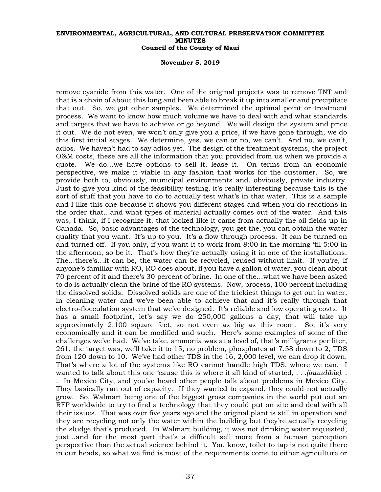#### **November 5, 2019**

remove cyanide from this water. One of the original projects was to remove TNT and that is a chain of about this long and been able to break it up into smaller and precipitate that out. So, we got other samples. We determined the optimal point or treatment process. We want to know how much volume we have to deal with and what standards and targets that we have to achieve or go beyond. We will design the system and price it out. We do not even, we won't only give you a price, if we have gone through, we do this first initial stages. We determine, yes, we can or no, we can't. And no, we can't, adios. We haven't had to say adios yet. The design of the treatment systems, the project O&M costs, these are all the information that you provided from us when we provide a quote. We do…we have options to sell it, lease it. On terms from an economic perspective, we make it viable in any fashion that works for the customer. So, we provide both to, obviously, municipal environments and, obviously, private industry. Just to give you kind of the feasibility testing, it's really interesting because this is the sort of stuff that you have to do to actually test what's in that water. This is a sample and I like this one because it shows you different stages and when you do reactions in the order that…and what types of material actually comes out of the water. And this was, I think, if I recognize it, that looked like it came from actually the oil fields up in Canada. So, basic advantages of the technology, you get the, you can obtain the water quality that you want. It's up to you. It's a flow through process. It can be turned on and turned off. If you only, if you want it to work from 8:00 in the morning 'til 5:00 in the afternoon, so be it. That's how they're actually using it in one of the installations. The…there's…it can be, the water can be recycled, reused without limit. If you're, if anyone's familiar with RO, RO does about, if you have a gallon of water, you clean about 70 percent of it and there's 30 percent of brine. In one of the…what we have been asked to do is actually clean the brine of the RO systems. Now, process, 100 percent including the dissolved solids. Dissolved solids are one of the trickiest things to get out in water, in cleaning water and we've been able to achieve that and it's really through that electro-flocculation system that we've designed. It's reliable and low operating costs. It has a small footprint, let's say we do 250,000 gallons a day, that will take up approximately 2,100 square feet, so not even as big as this room. So, it's very economically and it can be modified and such. Here's some examples of some of the challenges we've had. We've take, ammonia was at a level of, that's milligrams per liter, 261, the target was, we'll take it to 15, no problem, phosphates at 7.58 down to 2, TDS from 120 down to 10. We've had other TDS in the 16, 2,000 level, we can drop it down. That's where a lot of the systems like RO cannot handle high TDS, where we can. I wanted to talk about this one 'cause this is where it all kind of started, *. . .(inaudible). . .* In Mexico City, and you've heard other people talk about problems in Mexico City. They basically ran out of capacity. If they wanted to expand, they could not actually grow. So, Walmart being one of the biggest gross companies in the world put out an RFP worldwide to try to find a technology that they could put on site and deal with all their issues. That was over five years ago and the original plant is still in operation and they are recycling not only the water within the building but they're actually recycling the sludge that's produced. In Walmart building, it was not drinking water requested, just…and for the most part that's a difficult sell more from a human perception perspective than the actual science behind it. You know, toilet to tap is not quite there in our heads, so what we find is most of the requirements come to either agriculture or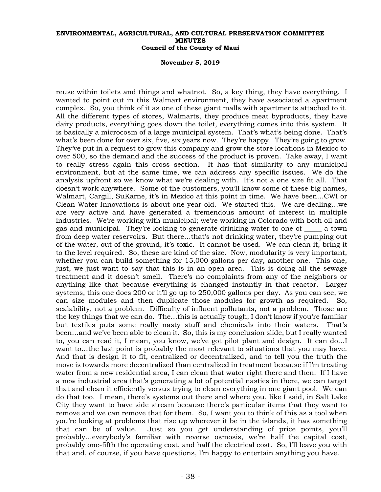#### **November 5, 2019**

reuse within toilets and things and whatnot. So, a key thing, they have everything. I wanted to point out in this Walmart environment, they have associated a apartment complex. So, you think of it as one of these giant malls with apartments attached to it. All the different types of stores, Walmarts, they produce meat byproducts, they have dairy products, everything goes down the toilet, everything comes into this system. It is basically a microcosm of a large municipal system. That's what's being done. That's what's been done for over six, five, six years now. They're happy. They're going to grow. They've put in a request to grow this company and grow the store locations in Mexico to over 500, so the demand and the success of the product is proven. Take away, I want to really stress again this cross section. It has that similarity to any municipal environment, but at the same time, we can address any specific issues. We do the analysis upfront so we know what we're dealing with. It's not a one size fit all. That doesn't work anywhere. Some of the customers, you'll know some of these big names, Walmart, Cargill, SuKarne, it's in Mexico at this point in time. We have been…CWI or Clean Water Innovations is about one year old. We started this. We are dealing…we are very active and have generated a tremendous amount of interest in multiple industries. We're working with municipal; we're working in Colorado with both oil and gas and municipal. They're looking to generate drinking water to one of \_\_\_\_\_ a town from deep water reservoirs. But there…that's not drinking water, they're pumping out of the water, out of the ground, it's toxic. It cannot be used. We can clean it, bring it to the level required. So, these are kind of the size. Now, modularity is very important, whether you can build something for 15,000 gallons per day, another one. This one, just, we just want to say that this is in an open area. This is doing all the sewage treatment and it doesn't smell. There's no complaints from any of the neighbors or anything like that because everything is changed instantly in that reactor. Larger systems, this one does 200 or it'll go up to 250,000 gallons per day. As you can see, we can size modules and then duplicate those modules for growth as required. So, scalability, not a problem. Difficulty of influent pollutants, not a problem. Those are the key things that we can do. The…this is actually tough; I don't know if you're familiar but textiles puts some really nasty stuff and chemicals into their waters. That's been…and we've been able to clean it. So, this is my conclusion slide, but I really wanted to, you can read it, I mean, you know, we've got pilot plant and design. It can do…I want to…the last point is probably the most relevant to situations that you may have. And that is design it to fit, centralized or decentralized, and to tell you the truth the move is towards more decentralized than centralized in treatment because if I'm treating water from a new residential area, I can clean that water right there and then. If I have a new industrial area that's generating a lot of potential nasties in there, we can target that and clean it efficiently versus trying to clean everything in one giant pool. We can do that too. I mean, there's systems out there and where you, like I said, in Salt Lake City they want to have side stream because there's particular items that they want to remove and we can remove that for them. So, I want you to think of this as a tool when you're looking at problems that rise up wherever it be in the islands, it has something that can be of value. Just so you get understanding of price points, you'll probably…everybody's familiar with reverse osmosis, we're half the capital cost, probably one-fifth the operating cost, and half the electrical cost. So, I'll leave you with that and, of course, if you have questions, I'm happy to entertain anything you have.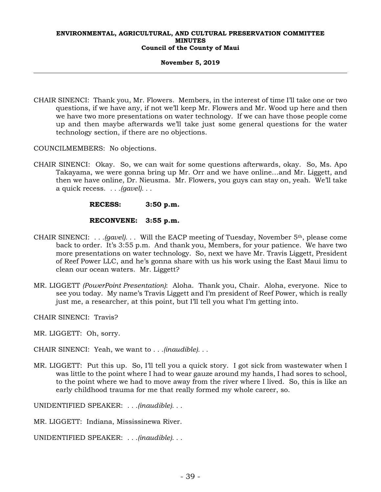## **November 5, 2019**

CHAIR SINENCI: Thank you, Mr. Flowers. Members, in the interest of time I'll take one or two questions, if we have any, if not we'll keep Mr. Flowers and Mr. Wood up here and then we have two more presentations on water technology. If we can have those people come up and then maybe afterwards we'll take just some general questions for the water technology section, if there are no objections.

COUNCILMEMBERS: No objections.

CHAIR SINENCI: Okay. So, we can wait for some questions afterwards, okay. So, Ms. Apo Takayama, we were gonna bring up Mr. Orr and we have online…and Mr. Liggett, and then we have online, Dr. Nieusma. Mr. Flowers, you guys can stay on, yeah. We'll take a quick recess. *. . .(gavel). . .* 

 **RECESS: 3:50 p.m.** 

## **RECONVENE: 3:55 p.m.**

- CHAIR SINENCI: *. . .(gavel). . .* Will the EACP meeting of Tuesday, November 5th, please come back to order. It's 3:55 p.m. And thank you, Members, for your patience. We have two more presentations on water technology. So, next we have Mr. Travis Liggett, President of Reef Power LLC, and he's gonna share with us his work using the East Maui limu to clean our ocean waters. Mr. Liggett?
- MR. LIGGETT *(PowerPoint Presentation)*: Aloha. Thank you, Chair. Aloha, everyone. Nice to see you today. My name's Travis Liggett and I'm president of Reef Power, which is really just me, a researcher, at this point, but I'll tell you what I'm getting into.

CHAIR SINENCI: Travis?

MR. LIGGETT: Oh, sorry.

CHAIR SINENCI: Yeah, we want to *. . .(inaudible). . .*

MR. LIGGETT: Put this up. So, I'll tell you a quick story. I got sick from wastewater when I was little to the point where I had to wear gauze around my hands, I had sores to school, to the point where we had to move away from the river where I lived. So, this is like an early childhood trauma for me that really formed my whole career, so.

UNIDENTIFIED SPEAKER: *. . .(inaudible). . .*

MR. LIGGETT: Indiana, Mississinewa River.

UNIDENTIFIED SPEAKER: *. . .(inaudible). . .*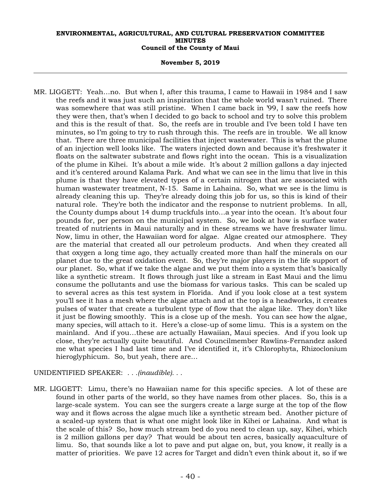#### **November 5, 2019**

MR. LIGGETT: Yeah…no. But when I, after this trauma, I came to Hawaii in 1984 and I saw the reefs and it was just such an inspiration that the whole world wasn't ruined. There was somewhere that was still pristine. When I came back in '99, I saw the reefs how they were then, that's when I decided to go back to school and try to solve this problem and this is the result of that. So, the reefs are in trouble and I've been told I have ten minutes, so I'm going to try to rush through this. The reefs are in trouble. We all know that. There are three municipal facilities that inject wastewater. This is what the plume of an injection well looks like. The waters injected down and because it's freshwater it floats on the saltwater substrate and flows right into the ocean. This is a visualization of the plume in Kihei. It's about a mile wide. It's about 2 million gallons a day injected and it's centered around Kalama Park. And what we can see in the limu that live in this plume is that they have elevated types of a certain nitrogen that are associated with human wastewater treatment, N-15. Same in Lahaina. So, what we see is the limu is already cleaning this up. They're already doing this job for us, so this is kind of their natural role. They're both the indicator and the response to nutrient problems. In all, the County dumps about 14 dump truckfuls into…a year into the ocean. It's about four pounds for, per person on the municipal system. So, we look at how is surface water treated of nutrients in Maui naturally and in these streams we have freshwater limu. Now, limu in other, the Hawaiian word for algae. Algae created our atmosphere. They are the material that created all our petroleum products. And when they created all that oxygen a long time ago, they actually created more than half the minerals on our planet due to the great oxidation event. So, they're major players in the life support of our planet. So, what if we take the algae and we put them into a system that's basically like a synthetic stream. It flows through just like a stream in East Maui and the limu consume the pollutants and use the biomass for various tasks. This can be scaled up to several acres as this test system in Florida. And if you look close at a test system you'll see it has a mesh where the algae attach and at the top is a headworks, it creates pulses of water that create a turbulent type of flow that the algae like. They don't like it just be flowing smoothly. This is a close up of the mesh. You can see how the algae, many species, will attach to it. Here's a close-up of some limu. This is a system on the mainland. And if you…these are actually Hawaiian, Maui species. And if you look up close, they're actually quite beautiful. And Councilmember Rawlins-Fernandez asked me what species I had last time and I've identified it, it's Chlorophyta, Rhizoclonium hieroglyphicum. So, but yeah, there are…

UNIDENTIFIED SPEAKER: *. . .(inaudible). . .*

MR. LIGGETT: Limu, there's no Hawaiian name for this specific species. A lot of these are found in other parts of the world, so they have names from other places. So, this is a large-scale system. You can see the surgers create a large surge at the top of the flow way and it flows across the algae much like a synthetic stream bed. Another picture of a scaled-up system that is what one might look like in Kihei or Lahaina. And what is the scale of this? So, how much stream bed do you need to clean up, say, Kihei, which is 2 million gallons per day? That would be about ten acres, basically aquaculture of limu. So, that sounds like a lot to pave and put algae on, but, you know, it really is a matter of priorities. We pave 12 acres for Target and didn't even think about it, so if we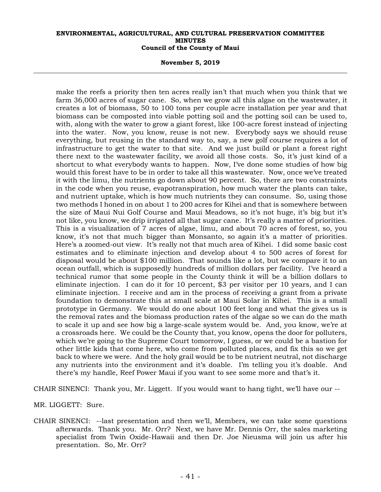#### **November 5, 2019**

make the reefs a priority then ten acres really isn't that much when you think that we farm 36,000 acres of sugar cane. So, when we grow all this algae on the wastewater, it creates a lot of biomass, 50 to 100 tons per couple acre installation per year and that biomass can be composted into viable potting soil and the potting soil can be used to, with, along with the water to grow a giant forest, like 100-acre forest instead of injecting into the water. Now, you know, reuse is not new. Everybody says we should reuse everything, but reusing in the standard way to, say, a new golf course requires a lot of infrastructure to get the water to that site. And we just build or plant a forest right there next to the wastewater facility, we avoid all those costs. So, it's just kind of a shortcut to what everybody wants to happen. Now, I've done some studies of how big would this forest have to be in order to take all this wastewater. Now, once we've treated it with the limu, the nutrients go down about 90 percent. So, there are two constraints in the code when you reuse, evapotranspiration, how much water the plants can take, and nutrient uptake, which is how much nutrients they can consume. So, using those two methods I honed in on about 1 to 200 acres for Kihei and that is somewhere between the size of Maui Nui Golf Course and Maui Meadows, so it's not huge, it's big but it's not like, you know, we drip irrigated all that sugar cane. It's really a matter of priorities. This is a visualization of 7 acres of algae, limu, and about 70 acres of forest, so, you know, it's not that much bigger than Monsanto, so again it's a matter of priorities. Here's a zoomed-out view. It's really not that much area of Kihei. I did some basic cost estimates and to eliminate injection and develop about 4 to 500 acres of forest for disposal would be about \$100 million. That sounds like a lot, but we compare it to an ocean outfall, which is supposedly hundreds of million dollars per facility. I've heard a technical rumor that some people in the County think it will be a billion dollars to eliminate injection. I can do it for 10 percent, \$3 per visitor per 10 years, and I can eliminate injection. I receive and am in the process of receiving a grant from a private foundation to demonstrate this at small scale at Maui Solar in Kihei. This is a small prototype in Germany. We would do one about 100 feet long and what the gives us is the removal rates and the biomass production rates of the algae so we can do the math to scale it up and see how big a large-scale system would be. And, you know, we're at a crossroads here. We could be the County that, you know, opens the door for polluters, which we're going to the Supreme Court tomorrow, I guess, or we could be a bastion for other little kids that come here, who come from polluted places, and fix this so we get back to where we were. And the holy grail would be to be nutrient neutral, not discharge any nutrients into the environment and it's doable. I'm telling you it's doable. And there's my handle, Reef Power Maui if you want to see some more and that's it.

CHAIR SINENCI: Thank you, Mr. Liggett. If you would want to hang tight, we'll have our --

MR. LIGGETT: Sure.

CHAIR SINENCI: --last presentation and then we'll, Members, we can take some questions afterwards. Thank you. Mr. Orr? Next, we have Mr. Dennis Orr, the sales marketing specialist from Twin Oxide-Hawaii and then Dr. Joe Nieusma will join us after his presentation. So, Mr. Orr?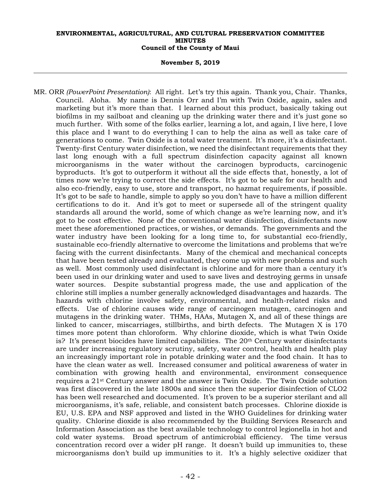#### **November 5, 2019**

MR. ORR *(PowerPoint Presentation)*: All right. Let's try this again. Thank you, Chair. Thanks, Council. Aloha. My name is Dennis Orr and I'm with Twin Oxide, again, sales and marketing but it's more than that. I learned about this product, basically taking out biofilms in my sailboat and cleaning up the drinking water there and it's just gone so much further. With some of the folks earlier, learning a lot, and again, I live here, I love this place and I want to do everything I can to help the aina as well as take care of generations to come. Twin Oxide is a total water treatment. It's more, it's a disinfectant. Twenty-first Century water disinfection, we need the disinfectant requirements that they last long enough with a full spectrum disinfection capacity against all known microorganisms in the water without the carcinogen byproducts, carcinogenic byproducts. It's got to outperform it without all the side effects that, honestly, a lot of times now we're trying to correct the side effects. It's got to be safe for our health and also eco-friendly, easy to use, store and transport, no hazmat requirements, if possible. It's got to be safe to handle, simple to apply so you don't have to have a million different certifications to do it. And it's got to meet or supersede all of the stringent quality standards all around the world, some of which change as we're learning now, and it's got to be cost effective. None of the conventional water disinfection, disinfectants now meet these aforementioned practices, or wishes, or demands. The governments and the water industry have been looking for a long time to, for substantial eco-friendly, sustainable eco-friendly alternative to overcome the limitations and problems that we're facing with the current disinfectants. Many of the chemical and mechanical concepts that have been tested already and evaluated, they come up with new problems and such as well. Most commonly used disinfectant is chlorine and for more than a century it's been used in our drinking water and used to save lives and destroying germs in unsafe water sources. Despite substantial progress made, the use and application of the chlorine still implies a number generally acknowledged disadvantages and hazards. The hazards with chlorine involve safety, environmental, and health-related risks and effects. Use of chlorine causes wide range of carcinogen mutagen, carcinogen and mutagens in the drinking water. THMs, HAAs, Mutagen X, and all of these things are linked to cancer, miscarriages, stillbirths, and birth defects. The Mutagen X is 170 times more potent than chloroform. Why chlorine dioxide, which is what Twin Oxide is? It's present biocides have limited capabilities. The  $20<sup>th</sup>$  Century water disinfectants are under increasing regulatory scrutiny, safety, water control, health and health play an increasingly important role in potable drinking water and the food chain. It has to have the clean water as well. Increased consumer and political awareness of water in combination with growing health and environmental, environment consequence requires a 21st Century answer and the answer is Twin Oxide. The Twin Oxide solution was first discovered in the late 1800s and since then the superior disinfection of CLO2 has been well researched and documented. It's proven to be a superior sterilant and all microorganisms, it's safe, reliable, and consistent batch processes. Chlorine dioxide is EU, U.S. EPA and NSF approved and listed in the WHO Guidelines for drinking water quality. Chlorine dioxide is also recommended by the Building Services Research and Information Association as the best available technology to control legionella in hot and cold water systems. Broad spectrum of antimicrobial efficiency. The time versus concentration record over a wider pH range. It doesn't build up immunities to, these microorganisms don't build up immunities to it. It's a highly selective oxidizer that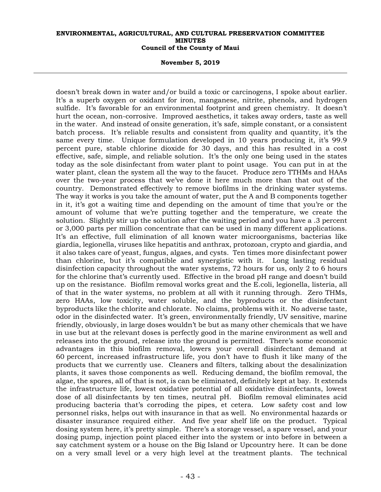#### **November 5, 2019**

doesn't break down in water and/or build a toxic or carcinogens, I spoke about earlier. It's a superb oxygen or oxidant for iron, manganese, nitrite, phenols, and hydrogen sulfide. It's favorable for an environmental footprint and green chemistry. It doesn't hurt the ocean, non-corrosive. Improved aesthetics, it takes away orders, taste as well in the water. And instead of onsite generation, it's safe, simple constant, or a consistent batch process. It's reliable results and consistent from quality and quantity, it's the same every time. Unique formulation developed in 10 years producing it, it's 99.9 percent pure, stable chlorine dioxide for 30 days, and this has resulted in a cost effective, safe, simple, and reliable solution. It's the only one being used in the states today as the sole disinfectant from water plant to point usage. You can put in at the water plant, clean the system all the way to the faucet. Produce zero TTHMs and HAAs over the two-year process that we've done it here much more than that out of the country. Demonstrated effectively to remove biofilms in the drinking water systems. The way it works is you take the amount of water, put the A and B components together in it, it's got a waiting time and depending on the amount of time that you're or the amount of volume that we're putting together and the temperature, we create the solution. Slightly stir up the solution after the waiting period and you have a .3 percent or 3,000 parts per million concentrate that can be used in many different applications. It's an effective, full elimination of all known water microorganisms, bacterias like giardia, legionella, viruses like hepatitis and anthrax, protozoan, crypto and giardia, and it also takes care of yeast, fungus, algaes, and cysts. Ten times more disinfectant power than chlorine, but it's compatible and synergistic with it. Long lasting residual disinfection capacity throughout the water systems, 72 hours for us, only 2 to 6 hours for the chlorine that's currently used. Effective in the broad pH range and doesn't build up on the resistance. Biofilm removal works great and the E.coli, legionella, listeria, all of that in the water systems, no problem at all with it running through. Zero THMs, zero HAAs, low toxicity, water soluble, and the byproducts or the disinfectant byproducts like the chlorite and chlorate. No claims, problems with it. No adverse taste, odor in the disinfected water. It's green, environmentally friendly, UV sensitive, marine friendly, obviously, in large doses wouldn't be but as many other chemicals that we have in use but at the relevant doses is perfectly good in the marine environment as well and releases into the ground, release into the ground is permitted. There's some economic advantages in this biofilm removal, lowers your overall disinfectant demand at 60 percent, increased infrastructure life, you don't have to flush it like many of the products that we currently use. Cleaners and filters, talking about the desalinization plants, it saves those components as well. Reducing demand, the biofilm removal, the algae, the spores, all of that is not, is can be eliminated, definitely kept at bay. It extends the infrastructure life, lowest oxidative potential of all oxidative disinfectants, lowest dose of all disinfectants by ten times, neutral pH. Biofilm removal eliminates acid producing bacteria that's corroding the pipes, et cetera. Low safety cost and low personnel risks, helps out with insurance in that as well. No environmental hazards or disaster insurance required either. And five year shelf life on the product. Typical dosing system here, it's pretty simple. There's a storage vessel, a spare vessel, and your dosing pump, injection point placed either into the system or into before in between a say catchment system or a house on the Big Island or Upcountry here. It can be done on a very small level or a very high level at the treatment plants. The technical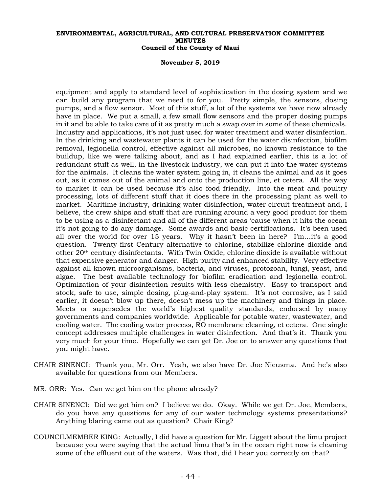#### **November 5, 2019**

equipment and apply to standard level of sophistication in the dosing system and we can build any program that we need to for you. Pretty simple, the sensors, dosing pumps, and a flow sensor. Most of this stuff, a lot of the systems we have now already have in place. We put a small, a few small flow sensors and the proper dosing pumps in it and be able to take care of it as pretty much a swap over in some of these chemicals. Industry and applications, it's not just used for water treatment and water disinfection. In the drinking and wastewater plants it can be used for the water disinfection, biofilm removal, legionella control, effective against all microbes, no known resistance to the buildup, like we were talking about, and as I had explained earlier, this is a lot of redundant stuff as well, in the livestock industry, we can put it into the water systems for the animals. It cleans the water system going in, it cleans the animal and as it goes out, as it comes out of the animal and onto the production line, et cetera. All the way to market it can be used because it's also food friendly. Into the meat and poultry processing, lots of different stuff that it does there in the processing plant as well to market. Maritime industry, drinking water disinfection, water circuit treatment and, I believe, the crew ships and stuff that are running around a very good product for them to be using as a disinfectant and all of the different areas 'cause when it hits the ocean it's not going to do any damage. Some awards and basic certifications. It's been used all over the world for over 15 years. Why it hasn't been in here? I'm…it's a good question. Twenty-first Century alternative to chlorine, stabilize chlorine dioxide and other 20th century disinfectants. With Twin Oxide, chlorine dioxide is available without that expensive generator and danger. High purity and enhanced stability. Very effective against all known microorganisms, bacteria, and viruses, protozoan, fungi, yeast, and algae. The best available technology for biofilm eradication and legionella control. Optimization of your disinfection results with less chemistry. Easy to transport and stock, safe to use, simple dosing, plug-and-play system. It's not corrosive, as I said earlier, it doesn't blow up there, doesn't mess up the machinery and things in place. Meets or supersedes the world's highest quality standards, endorsed by many governments and companies worldwide. Applicable for potable water, wastewater, and cooling water. The cooling water process, RO membrane cleaning, et cetera. One single concept addresses multiple challenges in water disinfection. And that's it. Thank you very much for your time. Hopefully we can get Dr. Joe on to answer any questions that you might have.

- CHAIR SINENCI: Thank you, Mr. Orr. Yeah, we also have Dr. Joe Nieusma. And he's also available for questions from our Members.
- MR. ORR: Yes. Can we get him on the phone already?
- CHAIR SINENCI: Did we get him on? I believe we do. Okay. While we get Dr. Joe, Members, do you have any questions for any of our water technology systems presentations? Anything blaring came out as question? Chair King?
- COUNCILMEMBER KING: Actually, I did have a question for Mr. Liggett about the limu project because you were saying that the actual limu that's in the ocean right now is cleaning some of the effluent out of the waters. Was that, did I hear you correctly on that?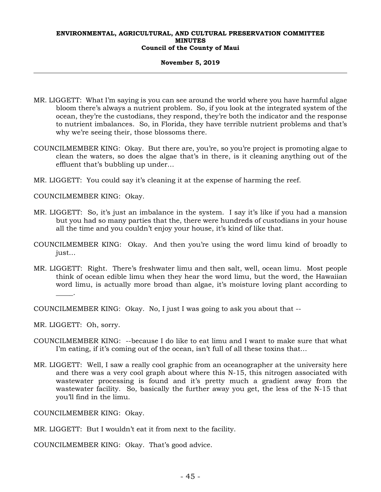#### **November 5, 2019**

- MR. LIGGETT: What I'm saying is you can see around the world where you have harmful algae bloom there's always a nutrient problem. So, if you look at the integrated system of the ocean, they're the custodians, they respond, they're both the indicator and the response to nutrient imbalances. So, in Florida, they have terrible nutrient problems and that's why we're seeing their, those blossoms there.
- COUNCILMEMBER KING: Okay. But there are, you're, so you're project is promoting algae to clean the waters, so does the algae that's in there, is it cleaning anything out of the effluent that's bubbling up under…
- MR. LIGGETT: You could say it's cleaning it at the expense of harming the reef.

COUNCILMEMBER KING: Okay.

- MR. LIGGETT: So, it's just an imbalance in the system. I say it's like if you had a mansion but you had so many parties that the, there were hundreds of custodians in your house all the time and you couldn't enjoy your house, it's kind of like that.
- COUNCILMEMBER KING: Okay. And then you're using the word limu kind of broadly to just…
- MR. LIGGETT: Right. There's freshwater limu and then salt, well, ocean limu. Most people think of ocean edible limu when they hear the word limu, but the word, the Hawaiian word limu, is actually more broad than algae, it's moisture loving plant according to  $\overline{\phantom{a}}$ .

COUNCILMEMBER KING: Okay. No, I just I was going to ask you about that --

MR. LIGGETT: Oh, sorry.

- COUNCILMEMBER KING: --because I do like to eat limu and I want to make sure that what I'm eating, if it's coming out of the ocean, isn't full of all these toxins that…
- MR. LIGGETT: Well, I saw a really cool graphic from an oceanographer at the university here and there was a very cool graph about where this N-15, this nitrogen associated with wastewater processing is found and it's pretty much a gradient away from the wastewater facility. So, basically the further away you get, the less of the N-15 that you'll find in the limu.

COUNCILMEMBER KING: Okay.

MR. LIGGETT: But I wouldn't eat it from next to the facility.

COUNCILMEMBER KING: Okay. That's good advice.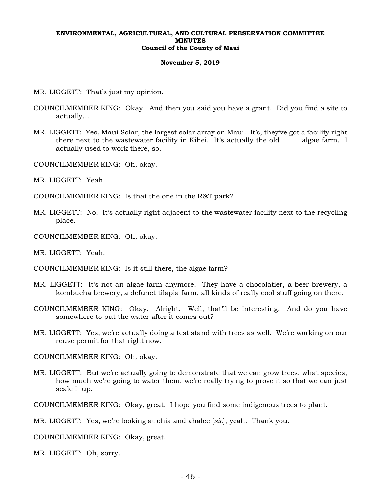#### **November 5, 2019**

- MR. LIGGETT: That's just my opinion.
- COUNCILMEMBER KING: Okay. And then you said you have a grant. Did you find a site to actually…
- MR. LIGGETT: Yes, Maui Solar, the largest solar array on Maui. It's, they've got a facility right there next to the wastewater facility in Kihei. It's actually the old \_\_\_\_\_ algae farm. I actually used to work there, so.
- COUNCILMEMBER KING: Oh, okay.
- MR. LIGGETT: Yeah.
- COUNCILMEMBER KING: Is that the one in the R&T park?
- MR. LIGGETT: No. It's actually right adjacent to the wastewater facility next to the recycling place.
- COUNCILMEMBER KING: Oh, okay.
- MR. LIGGETT: Yeah.
- COUNCILMEMBER KING: Is it still there, the algae farm?
- MR. LIGGETT: It's not an algae farm anymore. They have a chocolatier, a beer brewery, a kombucha brewery, a defunct tilapia farm, all kinds of really cool stuff going on there.
- COUNCILMEMBER KING: Okay. Alright. Well, that'll be interesting. And do you have somewhere to put the water after it comes out?
- MR. LIGGETT: Yes, we're actually doing a test stand with trees as well. We're working on our reuse permit for that right now.

COUNCILMEMBER KING: Oh, okay.

MR. LIGGETT: But we're actually going to demonstrate that we can grow trees, what species, how much we're going to water them, we're really trying to prove it so that we can just scale it up.

COUNCILMEMBER KING: Okay, great. I hope you find some indigenous trees to plant.

MR. LIGGETT: Yes, we're looking at ohia and ahalee [*sic*], yeah. Thank you.

COUNCILMEMBER KING: Okay, great.

MR. LIGGETT: Oh, sorry.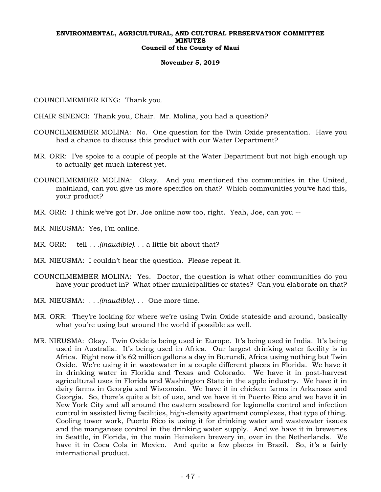## **November 5, 2019**

COUNCILMEMBER KING: Thank you.

CHAIR SINENCI: Thank you, Chair. Mr. Molina, you had a question?

- COUNCILMEMBER MOLINA: No. One question for the Twin Oxide presentation. Have you had a chance to discuss this product with our Water Department?
- MR. ORR: I've spoke to a couple of people at the Water Department but not high enough up to actually get much interest yet.
- COUNCILMEMBER MOLINA: Okay. And you mentioned the communities in the United, mainland, can you give us more specifics on that? Which communities you've had this, your product?
- MR. ORR: I think we've got Dr. Joe online now too, right. Yeah, Joe, can you --
- MR. NIEUSMA: Yes, I'm online.
- MR. ORR: --tell *. . .(inaudible). . .* a little bit about that?
- MR. NIEUSMA: I couldn't hear the question. Please repeat it.
- COUNCILMEMBER MOLINA: Yes. Doctor, the question is what other communities do you have your product in? What other municipalities or states? Can you elaborate on that?
- MR. NIEUSMA: *. . .(inaudible). . .* One more time.
- MR. ORR: They're looking for where we're using Twin Oxide stateside and around, basically what you're using but around the world if possible as well.
- MR. NIEUSMA: Okay. Twin Oxide is being used in Europe. It's being used in India. It's being used in Australia. It's being used in Africa. Our largest drinking water facility is in Africa. Right now it's 62 million gallons a day in Burundi, Africa using nothing but Twin Oxide. We're using it in wastewater in a couple different places in Florida. We have it in drinking water in Florida and Texas and Colorado. We have it in post-harvest agricultural uses in Florida and Washington State in the apple industry. We have it in dairy farms in Georgia and Wisconsin. We have it in chicken farms in Arkansas and Georgia. So, there's quite a bit of use, and we have it in Puerto Rico and we have it in New York City and all around the eastern seaboard for legionella control and infection control in assisted living facilities, high-density apartment complexes, that type of thing. Cooling tower work, Puerto Rico is using it for drinking water and wastewater issues and the manganese control in the drinking water supply. And we have it in breweries in Seattle, in Florida, in the main Heineken brewery in, over in the Netherlands. We have it in Coca Cola in Mexico. And quite a few places in Brazil. So, it's a fairly international product.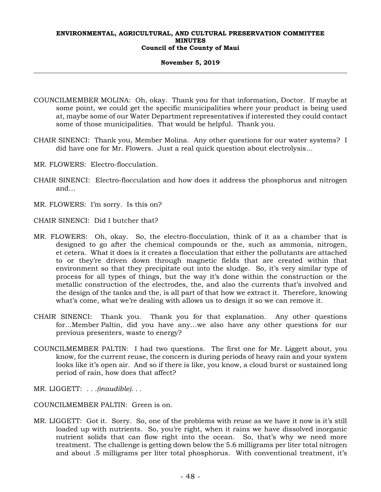## **November 5, 2019**

- COUNCILMEMBER MOLINA: Oh, okay. Thank you for that information, Doctor. If maybe at some point, we could get the specific municipalities where your product is being used at, maybe some of our Water Department representatives if interested they could contact some of those municipalities. That would be helpful. Thank you.
- CHAIR SINENCI: Thank you, Member Molina. Any other questions for our water systems? I did have one for Mr. Flowers. Just a real quick question about electrolysis…
- MR. FLOWERS: Electro-flocculation.
- CHAIR SINENCI: Electro-flocculation and how does it address the phosphorus and nitrogen and…
- MR. FLOWERS: I'm sorry. Is this on?
- CHAIR SINENCI: Did I butcher that?
- MR. FLOWERS: Oh, okay. So, the electro-flocculation, think of it as a chamber that is designed to go after the chemical compounds or the, such as ammonia, nitrogen, et cetera. What it does is it creates a flocculation that either the pollutants are attached to or they're driven down through magnetic fields that are created within that environment so that they precipitate out into the sludge. So, it's very similar type of process for all types of things, but the way it's done within the construction or the metallic construction of the electrodes, the, and also the currents that's involved and the design of the tanks and the, is all part of that how we extract it. Therefore, knowing what's come, what we're dealing with allows us to design it so we can remove it.
- CHAIR SINENCI: Thank you. Thank you for that explanation. Any other questions for…Member Paltin, did you have any…we also have any other questions for our previous presenters, waste to energy?
- COUNCILMEMBER PALTIN: I had two questions. The first one for Mr. Liggett about, you know, for the current reuse, the concern is during periods of heavy rain and your system looks like it's open air. And so if there is like, you know, a cloud burst or sustained long period of rain, how does that affect?
- MR. LIGGETT: *. . .(inaudible). . .*
- COUNCILMEMBER PALTIN: Green is on.
- MR. LIGGETT: Got it. Sorry. So, one of the problems with reuse as we have it now is it's still loaded up with nutrients. So, you're right, when it rains we have dissolved inorganic nutrient solids that can flow right into the ocean. So, that's why we need more treatment. The challenge is getting down below the 5.6 milligrams per liter total nitrogen and about .5 milligrams per liter total phosphorus. With conventional treatment, it's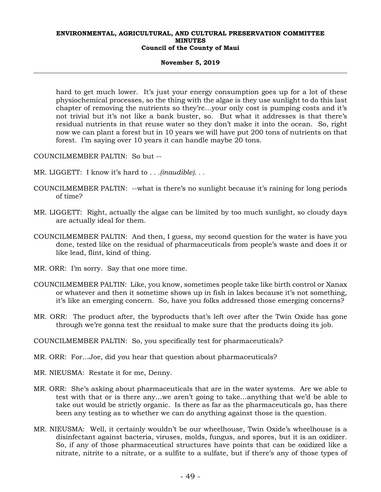## **November 5, 2019**

hard to get much lower. It's just your energy consumption goes up for a lot of these physiochemical processes, so the thing with the algae is they use sunlight to do this last chapter of removing the nutrients so they're…your only cost is pumping costs and it's not trivial but it's not like a bank buster, so. But what it addresses is that there's residual nutrients in that reuse water so they don't make it into the ocean. So, right now we can plant a forest but in 10 years we will have put 200 tons of nutrients on that forest. I'm saying over 10 years it can handle maybe 20 tons.

COUNCILMEMBER PALTIN: So but --

- MR. LIGGETT: I know it's hard to *. . .(inaudible). . .*
- COUNCILMEMBER PALTIN: --what is there's no sunlight because it's raining for long periods of time?
- MR. LIGGETT: Right, actually the algae can be limited by too much sunlight, so cloudy days are actually ideal for them.
- COUNCILMEMBER PALTIN: And then, I guess, my second question for the water is have you done, tested like on the residual of pharmaceuticals from people's waste and does it or like lead, flint, kind of thing.
- MR. ORR: I'm sorry. Say that one more time.
- COUNCILMEMBER PALTIN: Like, you know, sometimes people take like birth control or Xanax or whatever and then it sometime shows up in fish in lakes because it's not something, it's like an emerging concern. So, have you folks addressed those emerging concerns?
- MR. ORR: The product after, the byproducts that's left over after the Twin Oxide has gone through we're gonna test the residual to make sure that the products doing its job.

COUNCILMEMBER PALTIN: So, you specifically test for pharmaceuticals?

MR. ORR: For…Joe, did you hear that question about pharmaceuticals?

MR. NIEUSMA: Restate it for me, Denny.

- MR. ORR: She's asking about pharmaceuticals that are in the water systems. Are we able to test with that or is there any…we aren't going to take…anything that we'd be able to take out would be strictly organic. Is there as far as the pharmaceuticals go, has there been any testing as to whether we can do anything against those is the question.
- MR. NIEUSMA: Well, it certainly wouldn't be our wheelhouse, Twin Oxide's wheelhouse is a disinfectant against bacteria, viruses, molds, fungus, and spores, but it is an oxidizer. So, if any of those pharmaceutical structures have points that can be oxidized like a nitrate, nitrite to a nitrate, or a sulfite to a sulfate, but if there's any of those types of